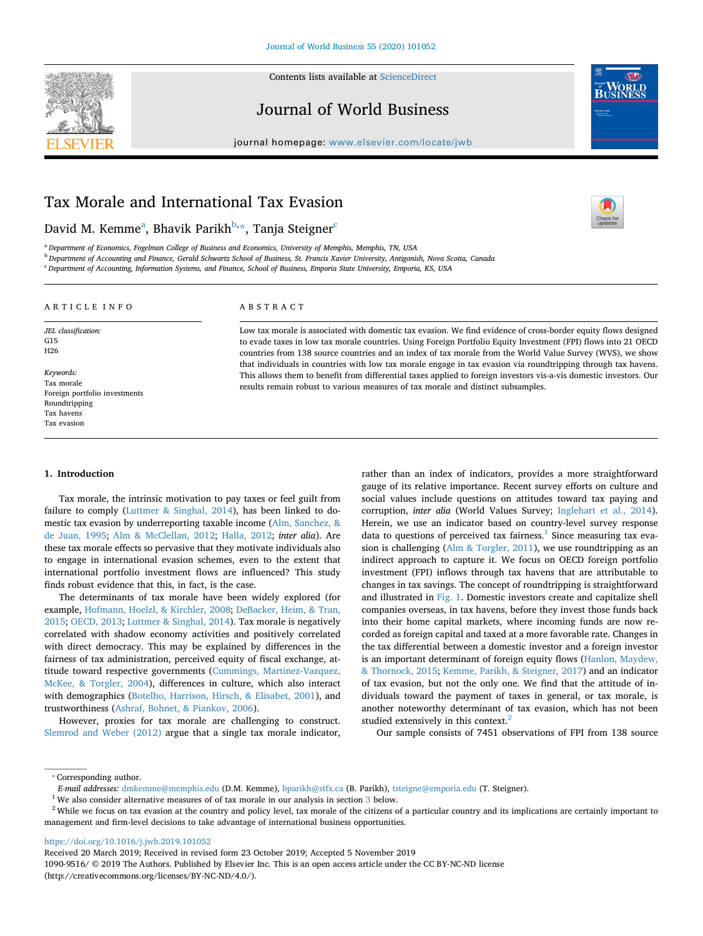

#### Contents lists available at [ScienceDirect](http://www.sciencedirect.com/science/journal/10909516)

# Journal of World Business



 $\frac{1}{\sqrt{2}}$ 

journal homepage: [www.elsevier.com/locate/jwb](https://www.elsevier.com/locate/jwb)

# Tax Morale and International Tax Evasion

David M. Kemme<sup>a</sup>, Bhavik Parikh<sup>b,</sup>[\\*](#page-0-2), Tanja Steigner<sup>[c](#page-0-3)</sup>

<span id="page-0-0"></span><sup>a</sup> *Department of Economics, Fogelman College of Business and Economics, University of Memphis, Memphis, TN, USA*

<span id="page-0-1"></span><sup>b</sup> *Department of Accounting and Finance, Gerald Schwartz School of Business, St. Francis Xavier University, Antigonish, Nova Scotia, Canada*

<span id="page-0-3"></span><sup>c</sup> *Department of Accounting, Information Systems, and Finance, School of Business, Emporia State University, Emporia, KS, USA*

# ARTICLE INFO

Foreign portfolio investments

*JEL classification:* G15 H26

*Keywords:* Tax morale

Roundtripping Tax havens Tax evasion

# ABSTRACT

Low tax morale is associated with domestic tax evasion. We find evidence of cross-border equity flows designed to evade taxes in low tax morale countries. Using Foreign Portfolio Equity Investment (FPI) flows into 21 OECD countries from 138 source countries and an index of tax morale from the World Value Survey (WVS), we show that individuals in countries with low tax morale engage in tax evasion via roundtripping through tax havens. This allows them to benefit from differential taxes applied to foreign investors vis-a-vis domestic investors. Our results remain robust to various measures of tax morale and distinct subsamples.

#### **1. Introduction**

Tax morale, the intrinsic motivation to pay taxes or feel guilt from failure to comply ([Luttmer & Singhal, 2014](#page-11-0)), has been linked to domestic tax evasion by underreporting taxable income ([Alm, Sanchez, &](#page-10-0) [de Juan, 1995](#page-10-0); [Alm & McClellan, 2012](#page-10-1); [Halla, 2012](#page-11-1); *inter alia*). Are these tax morale effects so pervasive that they motivate individuals also to engage in international evasion schemes, even to the extent that international portfolio investment flows are influenced? This study finds robust evidence that this, in fact, is the case.

The determinants of tax morale have been widely explored (for example, [Hofmann, Hoelzl, & Kirchler, 2008;](#page-11-2) [DeBacker, Heim, & Tran,](#page-10-2) [2015;](#page-10-2) [OECD, 2013;](#page-11-3) [Luttmer & Singhal, 2014\)](#page-11-0). Tax morale is negatively correlated with shadow economy activities and positively correlated with direct democracy. This may be explained by differences in the fairness of tax administration, perceived equity of fiscal exchange, attitude toward respective governments [\(Cummings, Martinez-Vazquez,](#page-10-3) [McKee, & Torgler, 2004](#page-10-3)), differences in culture, which also interact with demographics ([Botelho, Harrison, Hirsch, & Elisabet, 2001](#page-10-4)), and trustworthiness ([Ashraf, Bohnet, & Piankov, 2006\)](#page-10-5).

However, proxies for tax morale are challenging to construct. [Slemrod and Weber \(2012\)](#page-11-4) argue that a single tax morale indicator,

rather than an index of indicators, provides a more straightforward gauge of its relative importance. Recent survey efforts on culture and social values include questions on attitudes toward tax paying and corruption, *inter alia* (World Values Survey; [Inglehart et al., 2014](#page-11-5)). Herein, we use an indicator based on country-level survey response data to questions of perceived tax fairness. $<sup>1</sup>$  $<sup>1</sup>$  $<sup>1</sup>$  Since measuring tax eva-</sup> sion is challenging [\(Alm & Torgler, 2011](#page-10-6)), we use roundtripping as an indirect approach to capture it. We focus on OECD foreign portfolio investment (FPI) inflows through tax havens that are attributable to changes in tax savings. The concept of roundtripping is straightforward and illustrated in [Fig. 1.](#page-1-0) Domestic investors create and capitalize shell companies overseas, in tax havens, before they invest those funds back into their home capital markets, where incoming funds are now recorded as foreign capital and taxed at a more favorable rate. Changes in the tax differential between a domestic investor and a foreign investor is an important determinant of foreign equity flows [\(Hanlon, Maydew,](#page-11-6) [& Thornock, 2015;](#page-11-6) [Kemme, Parikh, & Steigner, 2017\)](#page-11-7) and an indicator of tax evasion, but not the only one. We find that the attitude of individuals toward the payment of taxes in general, or tax morale, is another noteworthy determinant of tax evasion, which has not been studied extensively in this context.<sup>2</sup>

Our sample consists of 7451 observations of FPI from 138 source

<https://doi.org/10.1016/j.jwb.2019.101052>

Received 20 March 2019; Received in revised form 23 October 2019; Accepted 5 November 2019

1090-9516/ © 2019 The Authors. Published by Elsevier Inc. This is an open access article under the CC BY-NC-ND license (http://creativecommons.org/licenses/BY-NC-ND/4.0/).

<span id="page-0-2"></span><sup>⁎</sup> Corresponding author.

*E-mail addresses:* [dmkemme@memphis.edu](mailto:dmkemme@memphis.edu) (D.M. Kemme), [bparikh@stfx.ca](mailto:bparikh@stfx.ca) (B. Parikh), [tsteigne@emporia.edu](mailto:tsteigne@emporia.edu) (T. Steigner).

<span id="page-0-4"></span> $^{\rm 1}$  We also consider alternative measures of of tax morale in our analysis in section  $3$  below.

<span id="page-0-5"></span><sup>&</sup>lt;sup>2</sup> While we focus on tax evasion at the country and policy level, tax morale of the citizens of a particular country and its implications are certainly important to management and firm-level decisions to take advantage of international business opportunities.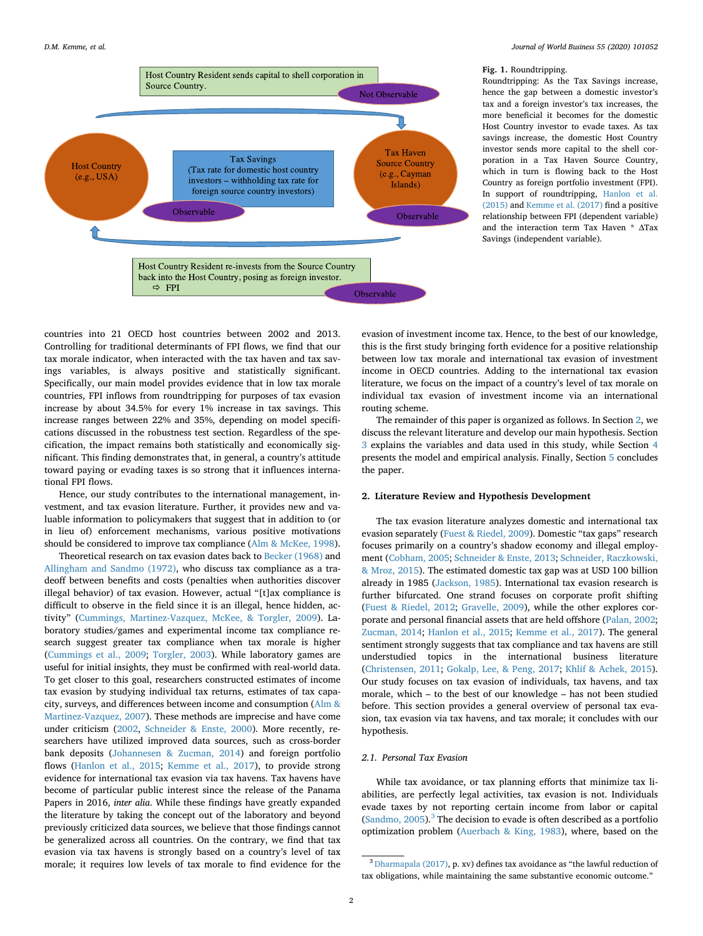<span id="page-1-0"></span>

#### **Fig. 1.** Roundtripping.

Roundtripping: As the Tax Savings increase, hence the gap between a domestic investor's tax and a foreign investor's tax increases, the more beneficial it becomes for the domestic Host Country investor to evade taxes. As tax savings increase, the domestic Host Country investor sends more capital to the shell corporation in a Tax Haven Source Country, which in turn is flowing back to the Host Country as foreign portfolio investment (FPI). In support of roundtripping, [Hanlon et al.](#page-11-6) [\(2015\)](#page-11-6) and [Kemme et al. \(2017\)](#page-11-7) find a positive relationship between FPI (dependent variable) and the interaction term Tax Haven \* ΔTax Savings (independent variable).

countries into 21 OECD host countries between 2002 and 2013. Controlling for traditional determinants of FPI flows, we find that our tax morale indicator, when interacted with the tax haven and tax savings variables, is always positive and statistically significant. Specifically, our main model provides evidence that in low tax morale countries, FPI inflows from roundtripping for purposes of tax evasion increase by about 34.5% for every 1% increase in tax savings. This increase ranges between 22% and 35%, depending on model specifications discussed in the robustness test section. Regardless of the specification, the impact remains both statistically and economically significant. This finding demonstrates that, in general, a country's attitude toward paying or evading taxes is so strong that it influences international FPI flows.

Hence, our study contributes to the international management, investment, and tax evasion literature. Further, it provides new and valuable information to policymakers that suggest that in addition to (or in lieu of) enforcement mechanisms, various positive motivations should be considered to improve tax compliance [\(Alm & McKee, 1998](#page-10-7)).

Theoretical research on tax evasion dates back to [Becker \(1968\)](#page-10-8) and [Allingham and Sandmo \(1972\)](#page-10-9), who discuss tax compliance as a tradeoff between benefits and costs (penalties when authorities discover illegal behavior) of tax evasion. However, actual "[t]ax compliance is difficult to observe in the field since it is an illegal, hence hidden, activity" ([Cummings, Martinez-Vazquez, McKee, & Torgler, 2009\)](#page-10-10). Laboratory studies/games and experimental income tax compliance research suggest greater tax compliance when tax morale is higher ([Cummings et al., 2009;](#page-10-10) [Torgler, 2003\)](#page-11-8). While laboratory games are useful for initial insights, they must be confirmed with real-world data. To get closer to this goal, researchers constructed estimates of income tax evasion by studying individual tax returns, estimates of tax capacity, surveys, and differences between income and consumption ([Alm &](#page-10-11) [Martinez-Vazquez, 2007\)](#page-10-11). These methods are imprecise and have come under criticism [\(2002](#page-11-9), [Schneider & Enste, 2000\)](#page-11-10). More recently, researchers have utilized improved data sources, such as cross-border bank deposits [\(Johannesen & Zucman, 2014\)](#page-11-11) and foreign portfolio flows [\(Hanlon et al., 2015](#page-11-6); [Kemme et al., 2017\)](#page-11-7), to provide strong evidence for international tax evasion via tax havens. Tax havens have become of particular public interest since the release of the Panama Papers in 2016, *inter alia*. While these findings have greatly expanded the literature by taking the concept out of the laboratory and beyond previously criticized data sources, we believe that those findings cannot be generalized across all countries. On the contrary, we find that tax evasion via tax havens is strongly based on a country's level of tax morale; it requires low levels of tax morale to find evidence for the evasion of investment income tax. Hence, to the best of our knowledge, this is the first study bringing forth evidence for a positive relationship between low tax morale and international tax evasion of investment income in OECD countries. Adding to the international tax evasion literature, we focus on the impact of a country's level of tax morale on individual tax evasion of investment income via an international routing scheme.

The remainder of this paper is organized as follows. In Section [2](#page-1-1), we discuss the relevant literature and develop our main hypothesis. Section [3](#page-3-0) explains the variables and data used in this study, while Section [4](#page-4-0) presents the model and empirical analysis. Finally, Section [5](#page-8-0) concludes the paper.

# <span id="page-1-1"></span>**2. Literature Review and Hypothesis Development**

The tax evasion literature analyzes domestic and international tax evasion separately [\(Fuest & Riedel, 2009\)](#page-11-12). Domestic "tax gaps" research focuses primarily on a country's shadow economy and illegal employment ([Cobham, 2005;](#page-10-12) [Schneider & Enste, 2013;](#page-11-13) [Schneider, Raczkowski,](#page-11-14) [& Mroz, 2015](#page-11-14)). The estimated domestic tax gap was at USD 100 billion already in 1985 [\(Jackson, 1985\)](#page-11-15). International tax evasion research is further bifurcated. One strand focuses on corporate profit shifting ([Fuest & Riedel, 2012;](#page-11-16) [Gravelle, 2009](#page-11-17)), while the other explores corporate and personal financial assets that are held offshore ([Palan, 2002](#page-11-18); [Zucman, 2014;](#page-11-19) [Hanlon et al., 2015](#page-11-6); [Kemme et al., 2017\)](#page-11-7). The general sentiment strongly suggests that tax compliance and tax havens are still understudied topics in the international business literature ([Christensen, 2011;](#page-10-13) [Gokalp, Lee, & Peng, 2017](#page-11-20); [Khlif & Achek, 2015](#page-11-21)). Our study focuses on tax evasion of individuals, tax havens, and tax morale, which – to the best of our knowledge – has not been studied before. This section provides a general overview of personal tax evasion, tax evasion via tax havens, and tax morale; it concludes with our hypothesis.

# *2.1. Personal Tax Evasion*

While tax avoidance, or tax planning efforts that minimize tax liabilities, are perfectly legal activities, tax evasion is not. Individuals evade taxes by not reporting certain income from labor or capital  $(Sandmo, 2005)$  $(Sandmo, 2005)$  $(Sandmo, 2005)$ .<sup>[3](#page-1-2)</sup> The decision to evade is often described as a portfolio optimization problem [\(Auerbach & King, 1983](#page-10-14)), where, based on the

<span id="page-1-2"></span><sup>3</sup> [Dharmapala \(2017\),](#page-10-15) p. xv) defines tax avoidance as "the lawful reduction of tax obligations, while maintaining the same substantive economic outcome."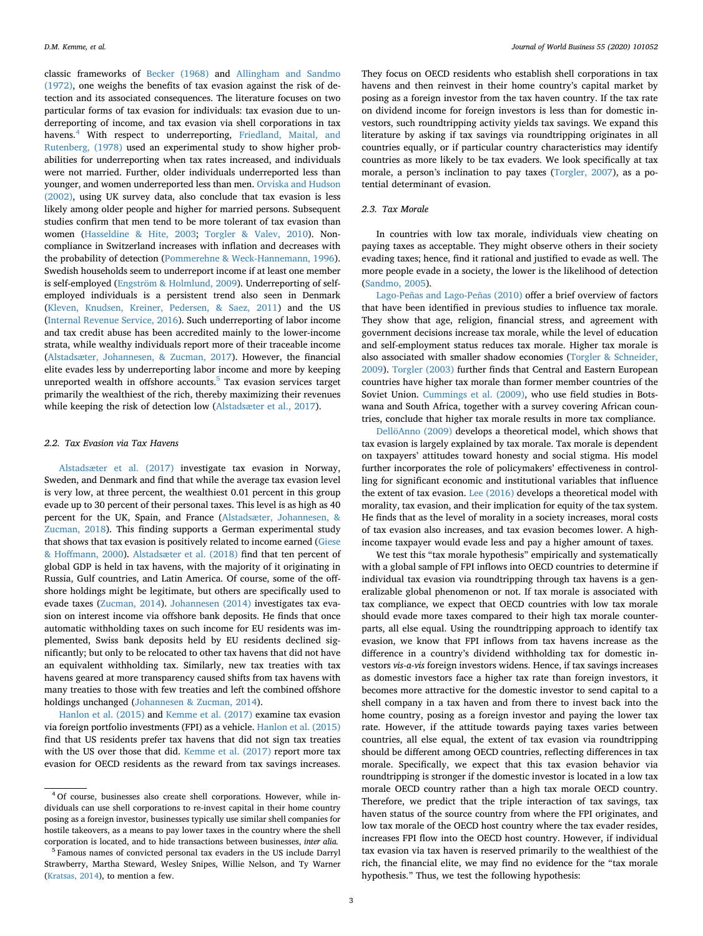classic frameworks of [Becker \(1968\)](#page-10-8) and [Allingham and Sandmo](#page-10-9) [\(1972\),](#page-10-9) one weighs the benefits of tax evasion against the risk of detection and its associated consequences. The literature focuses on two particular forms of tax evasion for individuals: tax evasion due to underreporting of income, and tax evasion via shell corporations in tax havens.<sup>[4](#page-2-0)</sup> With respect to underreporting, [Friedland, Maital, and](#page-10-16) [Rutenberg, \(1978\)](#page-10-16) used an experimental study to show higher probabilities for underreporting when tax rates increased, and individuals were not married. Further, older individuals underreported less than younger, and women underreported less than men. [Orviska and Hudson](#page-11-23) [\(2002\),](#page-11-23) using UK survey data, also conclude that tax evasion is less likely among older people and higher for married persons. Subsequent studies confirm that men tend to be more tolerant of tax evasion than women ([Hasseldine & Hite, 2003](#page-11-24); [Torgler & Valev, 2010\)](#page-11-25). Noncompliance in Switzerland increases with inflation and decreases with the probability of detection ([Pommerehne & Weck-Hannemann, 1996](#page-11-26)). Swedish households seem to underreport income if at least one member is self-employed ([Engström & Holmlund, 2009\)](#page-10-17). Underreporting of selfemployed individuals is a persistent trend also seen in Denmark ([Kleven, Knudsen, Kreiner, Pedersen, & Saez, 2011](#page-11-27)) and the US ([Internal Revenue Service, 2016\)](#page-11-28). Such underreporting of labor income and tax credit abuse has been accredited mainly to the lower-income strata, while wealthy individuals report more of their traceable income ([Alstadsæter, Johannesen, & Zucman, 2017](#page-10-18)). However, the financial elite evades less by underreporting labor income and more by keeping unreported wealth in offshore accounts.<sup>5</sup> Tax evasion services target primarily the wealthiest of the rich, thereby maximizing their revenues while keeping the risk of detection low [\(Alstadsæter et al., 2017](#page-10-18)).

### *2.2. Tax Evasion via Tax Havens*

[Alstadsæter et al. \(2017\)](#page-10-18) investigate tax evasion in Norway, Sweden, and Denmark and find that while the average tax evasion level is very low, at three percent, the wealthiest 0.01 percent in this group evade up to 30 percent of their personal taxes. This level is as high as 40 percent for the UK, Spain, and France [\(Alstadsæter, Johannesen, &](#page-10-19) [Zucman, 2018\)](#page-10-19). This finding supports a German experimental study that shows that tax evasion is positively related to income earned ([Giese](#page-11-29) [& Hoffmann, 2000\)](#page-11-29). [Alstadsæter et al. \(2018\)](#page-10-19) find that ten percent of global GDP is held in tax havens, with the majority of it originating in Russia, Gulf countries, and Latin America. Of course, some of the offshore holdings might be legitimate, but others are specifically used to evade taxes [\(Zucman, 2014](#page-11-19)). [Johannesen \(2014\)](#page-11-30) investigates tax evasion on interest income via offshore bank deposits. He finds that once automatic withholding taxes on such income for EU residents was implemented, Swiss bank deposits held by EU residents declined significantly; but only to be relocated to other tax havens that did not have an equivalent withholding tax. Similarly, new tax treaties with tax havens geared at more transparency caused shifts from tax havens with many treaties to those with few treaties and left the combined offshore holdings unchanged [\(Johannesen & Zucman, 2014\)](#page-11-11).

[Hanlon et al. \(2015\)](#page-11-6) and [Kemme et al. \(2017\)](#page-11-7) examine tax evasion via foreign portfolio investments (FPI) as a vehicle. [Hanlon et al. \(2015\)](#page-11-6) find that US residents prefer tax havens that did not sign tax treaties with the US over those that did. [Kemme et al. \(2017\)](#page-11-7) report more tax evasion for OECD residents as the reward from tax savings increases.

They focus on OECD residents who establish shell corporations in tax havens and then reinvest in their home country's capital market by posing as a foreign investor from the tax haven country. If the tax rate on dividend income for foreign investors is less than for domestic investors, such roundtripping activity yields tax savings. We expand this literature by asking if tax savings via roundtripping originates in all countries equally, or if particular country characteristics may identify countries as more likely to be tax evaders. We look specifically at tax morale, a person's inclination to pay taxes ([Torgler, 2007](#page-11-31)), as a potential determinant of evasion.

# *2.3. Tax Morale*

In countries with low tax morale, individuals view cheating on paying taxes as acceptable. They might observe others in their society evading taxes; hence, find it rational and justified to evade as well. The more people evade in a society, the lower is the likelihood of detection ([Sandmo, 2005\)](#page-11-22).

[Lago-Peñas and Lago-Peñas \(2010\)](#page-11-32) offer a brief overview of factors that have been identified in previous studies to influence tax morale. They show that age, religion, financial stress, and agreement with government decisions increase tax morale, while the level of education and self-employment status reduces tax morale. Higher tax morale is also associated with smaller shadow economies [\(Torgler & Schneider,](#page-11-33) [2009\)](#page-11-33). [Torgler \(2003\)](#page-11-8) further finds that Central and Eastern European countries have higher tax morale than former member countries of the Soviet Union. [Cummings et al. \(2009\),](#page-10-10) who use field studies in Botswana and South Africa, together with a survey covering African countries, conclude that higher tax morale results in more tax compliance.

[DellöAnno \(2009\)](#page-10-20) develops a theoretical model, which shows that tax evasion is largely explained by tax morale. Tax morale is dependent on taxpayers' attitudes toward honesty and social stigma. His model further incorporates the role of policymakers' effectiveness in controlling for significant economic and institutional variables that influence the extent of tax evasion. [Lee \(2016\)](#page-11-34) develops a theoretical model with morality, tax evasion, and their implication for equity of the tax system. He finds that as the level of morality in a society increases, moral costs of tax evasion also increases, and tax evasion becomes lower. A highincome taxpayer would evade less and pay a higher amount of taxes.

We test this "tax morale hypothesis" empirically and systematically with a global sample of FPI inflows into OECD countries to determine if individual tax evasion via roundtripping through tax havens is a generalizable global phenomenon or not. If tax morale is associated with tax compliance, we expect that OECD countries with low tax morale should evade more taxes compared to their high tax morale counterparts, all else equal. Using the roundtripping approach to identify tax evasion, we know that FPI inflows from tax havens increase as the difference in a country's dividend withholding tax for domestic investors *vis-a-vis* foreign investors widens. Hence, if tax savings increases as domestic investors face a higher tax rate than foreign investors, it becomes more attractive for the domestic investor to send capital to a shell company in a tax haven and from there to invest back into the home country, posing as a foreign investor and paying the lower tax rate. However, if the attitude towards paying taxes varies between countries, all else equal, the extent of tax evasion via roundtripping should be different among OECD countries, reflecting differences in tax morale. Specifically, we expect that this tax evasion behavior via roundtripping is stronger if the domestic investor is located in a low tax morale OECD country rather than a high tax morale OECD country. Therefore, we predict that the triple interaction of tax savings, tax haven status of the source country from where the FPI originates, and low tax morale of the OECD host country where the tax evader resides, increases FPI flow into the OECD host country. However, if individual tax evasion via tax haven is reserved primarily to the wealthiest of the rich, the financial elite, we may find no evidence for the "tax morale hypothesis." Thus, we test the following hypothesis:

<span id="page-2-0"></span><sup>4</sup> Of course, businesses also create shell corporations. However, while individuals can use shell corporations to re-invest capital in their home country posing as a foreign investor, businesses typically use similar shell companies for hostile takeovers, as a means to pay lower taxes in the country where the shell corporation is located, and to hide transactions between businesses, *inter alia.*

<span id="page-2-1"></span><sup>5</sup> Famous names of convicted personal tax evaders in the US include Darryl Strawberry, Martha Steward, Wesley Snipes, Willie Nelson, and Ty Warner [\(Kratsas, 2014\)](#page-11-35), to mention a few.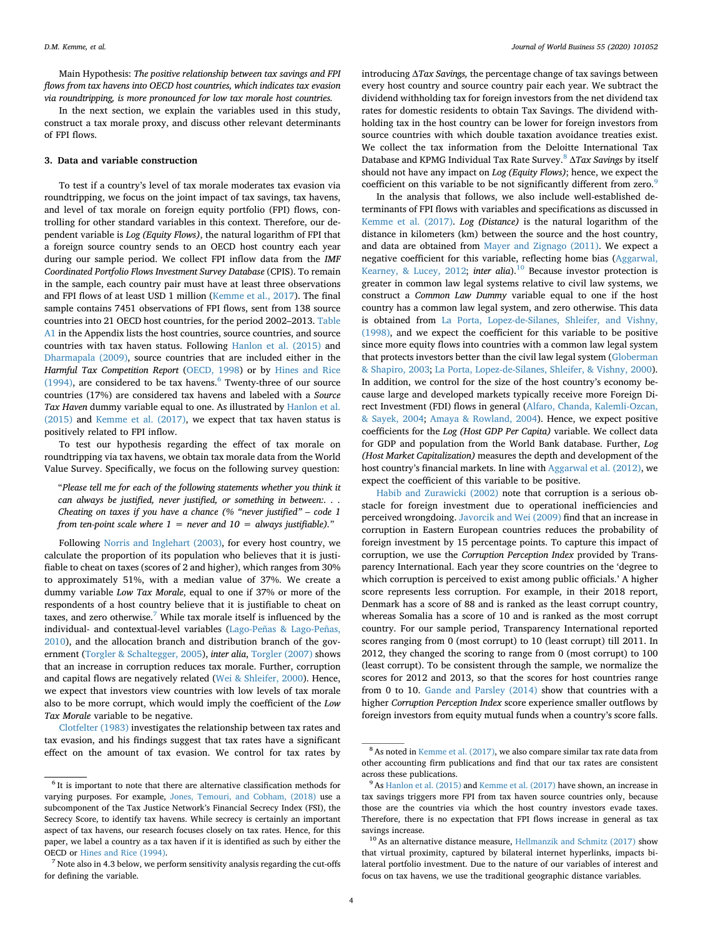Main Hypothesis: *The positive relationship between tax savings and FPI flows from tax havens into OECD host countries, which indicates tax evasion via roundtripping, is more pronounced for low tax morale host countries.*

In the next section, we explain the variables used in this study, construct a tax morale proxy, and discuss other relevant determinants of FPI flows.

# <span id="page-3-0"></span>**3. Data and variable construction**

To test if a country's level of tax morale moderates tax evasion via roundtripping, we focus on the joint impact of tax savings, tax havens, and level of tax morale on foreign equity portfolio (FPI) flows, controlling for other standard variables in this context. Therefore, our dependent variable is *Log (Equity Flows)*, the natural logarithm of FPI that a foreign source country sends to an OECD host country each year during our sample period. We collect FPI inflow data from the *IMF Coordinated Portfolio Flows Investment Survey Database* (CPIS). To remain in the sample, each country pair must have at least three observations and FPI flows of at least USD 1 million [\(Kemme et al., 2017](#page-11-7)). The final sample contains 7451 observations of FPI flows, sent from 138 source countries into 21 OECD host countries, for the period 2002–2013. [Table](#page-10-21) [A1](#page-10-21) in the Appendix lists the host countries, source countries, and source countries with tax haven status. Following [Hanlon et al. \(2015\)](#page-11-6) and [Dharmapala \(2009\)](#page-10-22), source countries that are included either in the *Harmful Tax Competition Report* [\(OECD, 1998\)](#page-11-36) or by [Hines and Rice](#page-11-37) [\(1994\),](#page-11-37) are considered to be tax havens. $6$  Twenty-three of our source countries (17%) are considered tax havens and labeled with a *Source Tax Haven* dummy variable equal to one. As illustrated by [Hanlon et al.](#page-11-6) [\(2015\)](#page-11-6) and [Kemme et al. \(2017\)](#page-11-7), we expect that tax haven status is positively related to FPI inflow.

To test our hypothesis regarding the effect of tax morale on roundtripping via tax havens, we obtain tax morale data from the World Value Survey. Specifically, we focus on the following survey question:

"*Please tell me for each of the following statements whether you think it can always be justified, never justified, or something in between:. . . Cheating on taxes if you have a chance (% "never justified" – code 1 from ten-point scale where 1 = never and 10 = always justifiable).*"

Following [Norris and Inglehart \(2003\),](#page-11-38) for every host country, we calculate the proportion of its population who believes that it is justifiable to cheat on taxes (scores of 2 and higher), which ranges from 30% to approximately 51%, with a median value of 37%. We create a dummy variable *Low Tax Morale*, equal to one if 37% or more of the respondents of a host country believe that it is justifiable to cheat on taxes, and zero otherwise.<sup>[7](#page-3-2)</sup> While tax morale itself is influenced by the individual- and contextual-level variables [\(Lago-Peñas & Lago-Peñas,](#page-11-32) [2010\)](#page-11-32), and the allocation branch and distribution branch of the government [\(Torgler & Schaltegger, 2005](#page-11-39)), *inter alia*, [Torgler \(2007\)](#page-11-31) shows that an increase in corruption reduces tax morale. Further, corruption and capital flows are negatively related ([Wei & Shleifer, 2000\)](#page-11-40). Hence, we expect that investors view countries with low levels of tax morale also to be more corrupt, which would imply the coefficient of the *Low Tax Morale* variable to be negative.

[Clotfelter \(1983\)](#page-10-23) investigates the relationship between tax rates and tax evasion, and his findings suggest that tax rates have a significant effect on the amount of tax evasion. We control for tax rates by

introducing Δ*Tax Savings,* the percentage change of tax savings between every host country and source country pair each year. We subtract the dividend withholding tax for foreign investors from the net dividend tax rates for domestic residents to obtain Tax Savings. The dividend withholding tax in the host country can be lower for foreign investors from source countries with which double taxation avoidance treaties exist. We collect the tax information from the Deloitte International Tax Database and KPMG Individual Tax Rate Survey[.8](#page-3-3) Δ*Tax Savings* by itself should not have any impact on *Log (Equity Flows)*; hence, we expect the coefficient on this variable to be not significantly different from zero.<sup>[9](#page-3-4)</sup>

In the analysis that follows, we also include well-established determinants of FPI flows with variables and specifications as discussed in [Kemme et al. \(2017\).](#page-11-7) *Log (Distance)* is the natural logarithm of the distance in kilometers (km) between the source and the host country, and data are obtained from [Mayer and Zignago \(2011\)](#page-11-41). We expect a negative coefficient for this variable, reflecting home bias ([Aggarwal,](#page-10-24) [Kearney, & Lucey, 2012](#page-10-24); *inter alia*).<sup>[10](#page-3-5)</sup> Because investor protection is greater in common law legal systems relative to civil law systems, we construct a *Common Law Dummy* variable equal to one if the host country has a common law legal system, and zero otherwise. This data is obtained from [La Porta, Lopez-de-Silanes, Shleifer, and Vishny,](#page-11-42) [\(1998\),](#page-11-42) and we expect the coefficient for this variable to be positive since more equity flows into countries with a common law legal system that protects investors better than the civil law legal system ([Globerman](#page-11-43) [& Shapiro, 2003](#page-11-43); [La Porta, Lopez-de-Silanes, Shleifer, & Vishny, 2000](#page-11-44)). In addition, we control for the size of the host country's economy because large and developed markets typically receive more Foreign Direct Investment (FDI) flows in general [\(Alfaro, Chanda, Kalemli-Ozcan,](#page-10-25) [& Sayek, 2004](#page-10-25); [Amaya & Rowland, 2004](#page-10-26)). Hence, we expect positive coefficients for the *Log (Host GDP Per Capita)* variable. We collect data for GDP and population from the World Bank database. Further, *Log (Host Market Capitalization)* measures the depth and development of the host country's financial markets. In line with [Aggarwal et al. \(2012\)](#page-10-24), we expect the coefficient of this variable to be positive.

[Habib and Zurawicki \(2002\)](#page-11-45) note that corruption is a serious obstacle for foreign investment due to operational inefficiencies and perceived wrongdoing. [Javorcik and Wei \(2009\)](#page-11-46) find that an increase in corruption in Eastern European countries reduces the probability of foreign investment by 15 percentage points. To capture this impact of corruption, we use the *Corruption Perception Index* provided by Transparency International. Each year they score countries on the 'degree to which corruption is perceived to exist among public officials.' A higher score represents less corruption. For example, in their 2018 report, Denmark has a score of 88 and is ranked as the least corrupt country, whereas Somalia has a score of 10 and is ranked as the most corrupt country. For our sample period, Transparency International reported scores ranging from 0 (most corrupt) to 10 (least corrupt) till 2011. In 2012, they changed the scoring to range from 0 (most corrupt) to 100 (least corrupt). To be consistent through the sample, we normalize the scores for 2012 and 2013, so that the scores for host countries range from 0 to 10. [Gande and Parsley \(2014\)](#page-11-47) show that countries with a higher *Corruption Perception Index* score experience smaller outflows by foreign investors from equity mutual funds when a country's score falls.

<span id="page-3-1"></span> $^6$  It is important to note that there are alternative classification methods for varying purposes. For example, [Jones, Temouri, and Cobham, \(2018\)](#page-11-48) use a subcomponent of the Tax Justice Network's Financial Secrecy Index (FSI), the Secrecy Score, to identify tax havens. While secrecy is certainly an important aspect of tax havens, our research focuses closely on tax rates. Hence, for this paper, we label a country as a tax haven if it is identified as such by either the OECD or [Hines and Rice \(1994\)](#page-11-37).

<span id="page-3-2"></span> $<sup>7</sup>$  Note also in 4.3 below, we perform sensitivity analysis regarding the cut-offs</sup> for defining the variable.

<span id="page-3-3"></span><sup>8</sup> As noted in [Kemme et al. \(2017\)](#page-11-7), we also compare similar tax rate data from other accounting firm publications and find that our tax rates are consistent across these publications.

<span id="page-3-4"></span><sup>&</sup>lt;sup>9</sup> As [Hanlon et al. \(2015\)](#page-11-6) and [Kemme et al. \(2017\)](#page-11-7) have shown, an increase in tax savings triggers more FPI from tax haven source countries only, because those are the countries via which the host country investors evade taxes. Therefore, there is no expectation that FPI flows increase in general as tax savings increase.

<span id="page-3-5"></span> $10$  As an alternative distance measure, [Hellmanzik and Schmitz \(2017\)](#page-11-49) show that virtual proximity, captured by bilateral internet hyperlinks, impacts bilateral portfolio investment. Due to the nature of our variables of interest and focus on tax havens, we use the traditional geographic distance variables.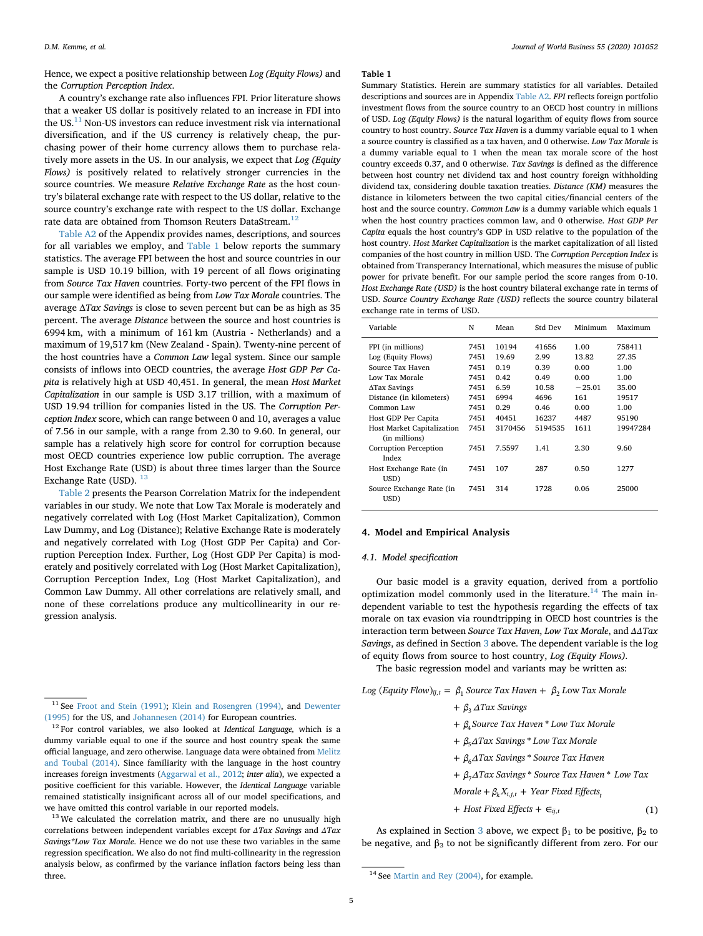Hence, we expect a positive relationship between *Log (Equity Flows)* and the *Corruption Perception Index*.

# A country's exchange rate also influences FPI. Prior literature shows that a weaker US dollar is positively related to an increase in FDI into the US. $^{11}$  $^{11}$  $^{11}$  Non-US investors can reduce investment risk via international diversification, and if the US currency is relatively cheap, the purchasing power of their home currency allows them to purchase relatively more assets in the US. In our analysis, we expect that *Log (Equity Flows)* is positively related to relatively stronger currencies in the source countries. We measure *Relative Exchange Rate* as the host country's bilateral exchange rate with respect to the US dollar, relative to the source country's exchange rate with respect to the US dollar. Exchange rate data are obtained from Thomson Reuters DataStream.<sup>12</sup>

[Table A2](#page-10-27) of the Appendix provides names, descriptions, and sources for all variables we employ, and [Table 1](#page-4-3) below reports the summary statistics. The average FPI between the host and source countries in our sample is USD 10.19 billion, with 19 percent of all flows originating from *Source Tax Haven* countries. Forty-two percent of the FPI flows in our sample were identified as being from *Low Tax Morale* countries. The average Δ*Tax Savings* is close to seven percent but can be as high as 35 percent. The average *Distance* between the source and host countries is 6994 km, with a minimum of 161 km (Austria - Netherlands) and a maximum of 19,517 km (New Zealand - Spain). Twenty-nine percent of the host countries have a *Common Law* legal system. Since our sample consists of inflows into OECD countries, the average *Host GDP Per Capita* is relatively high at USD 40,451. In general, the mean *Host Market Capitalization* in our sample is USD 3.17 trillion, with a maximum of USD 19.94 trillion for companies listed in the US. The *Corruption Perception Index* score, which can range between 0 and 10, averages a value of 7.56 in our sample, with a range from 2.30 to 9.60. In general, our sample has a relatively high score for control for corruption because most OECD countries experience low public corruption. The average Host Exchange Rate (USD) is about three times larger than the Source Exchange Rate (USD).  $13$ 

[Table 2](#page-5-0) presents the Pearson Correlation Matrix for the independent variables in our study. We note that Low Tax Morale is moderately and negatively correlated with Log (Host Market Capitalization), Common Law Dummy, and Log (Distance); Relative Exchange Rate is moderately and negatively correlated with Log (Host GDP Per Capita) and Corruption Perception Index. Further, Log (Host GDP Per Capita) is moderately and positively correlated with Log (Host Market Capitalization), Corruption Perception Index, Log (Host Market Capitalization), and Common Law Dummy. All other correlations are relatively small, and none of these correlations produce any multicollinearity in our regression analysis.

<span id="page-4-4"></span><sup>13</sup> We calculated the correlation matrix, and there are no unusually high correlations between independent variables except for *ΔTax Savings* and *ΔTax Savings\*Low Tax Morale*. Hence we do not use these two variables in the same regression specification. We also do not find multi-collinearity in the regression analysis below, as confirmed by the variance inflation factors being less than three. 14 See [Martin and Rey \(2004\),](#page-11-52) for example.

#### <span id="page-4-3"></span>**Table 1**

Summary Statistics. Herein are summary statistics for all variables. Detailed descriptions and sources are in Appendix [Table A2](#page-10-27). *FPI* reflects foreign portfolio investment flows from the source country to an OECD host country in millions of USD. *Log (Equity Flows)* is the natural logarithm of equity flows from source country to host country. *Source Tax Haven* is a dummy variable equal to 1 when a source country is classified as a tax haven, and 0 otherwise. *Low Tax Morale* is a dummy variable equal to 1 when the mean tax morale score of the host country exceeds 0.37, and 0 otherwise. *Tax Savings* is defined as the difference between host country net dividend tax and host country foreign withholding dividend tax, considering double taxation treaties. *Distance (KM)* measures the distance in kilometers between the two capital cities/financial centers of the host and the source country. *Common Law* is a dummy variable which equals 1 when the host country practices common law, and 0 otherwise. *Host GDP Per Capita* equals the host country's GDP in USD relative to the population of the host country. *Host Market Capitalization* is the market capitalization of all listed companies of the host country in million USD. The *Corruption Perception Index* is obtained from Transperancy International, which measures the misuse of public power for private benefit. For our sample period the score ranges from 0-10. *Host Exchange Rate (USD)* is the host country bilateral exchange rate in terms of USD. *Source Country Exchange Rate (USD)* reflects the source country bilateral exchange rate in terms of USD.

| Variable                                           | N    | Mean    | Std Dev | Minimum  | Maximum  |
|----------------------------------------------------|------|---------|---------|----------|----------|
| FPI (in millions)                                  | 7451 | 10194   | 41656   | 1.00     | 758411   |
| Log (Equity Flows)                                 | 7451 | 19.69   | 2.99    | 13.82    | 27.35    |
| Source Tax Haven                                   | 7451 | 0.19    | 0.39    | 0.00     | 1.00     |
| Low Tax Morale                                     | 7451 | 0.42    | 0.49    | 0.00     | 1.00     |
| $\Delta$ Tax Savings                               | 7451 | 6.59    | 10.58   | $-25.01$ | 35.00    |
| Distance (in kilometers)                           | 7451 | 6994    | 4696    | 161      | 19517    |
| Common Law                                         | 7451 | 0.29    | 0.46    | 0.00     | 1.00     |
| Host GDP Per Capita                                | 7451 | 40451   | 16237   | 4487     | 95190    |
| <b>Host Market Capitalization</b><br>(in millions) | 7451 | 3170456 | 5194535 | 1611     | 19947284 |
| Corruption Perception<br>Index                     | 7451 | 7.5597  | 1.41    | 2.30     | 9.60     |
| Host Exchange Rate (in<br>USD)                     | 7451 | 107     | 287     | 0.50     | 1277     |
| Source Exchange Rate (in<br>USD)                   | 7451 | 314     | 1728    | 0.06     | 25000    |

# <span id="page-4-0"></span>**4. Model and Empirical Analysis**

# <span id="page-4-6"></span>*4.1. Model specification*

Our basic model is a gravity equation, derived from a portfolio optimization model commonly used in the literature.<sup>14</sup> The main independent variable to test the hypothesis regarding the effects of tax morale on tax evasion via roundtripping in OECD host countries is the interaction term between *Source Tax Haven*, *Low Tax Morale*, and *ΔΔTax Savings*, as defined in Section [3](#page-3-0) above. The dependent variable is the log of equity flows from source to host country, *Log (Equity Flows).*

The basic regression model and variants may be written as:

 $Log (Equity Flow)_{ij, t} = \beta_1$  Source Tax Haven  $+ \beta_2$  Low Tax Morale

 $+ \beta_3 \Delta Tax$  Savings

+ β<sub>4</sub> Source Tax Haven \* Low Tax Morale

- + β<sub>5</sub>ΔTax Savings \* Low Tax Morale
- + β<sub>6</sub>ΔTax Savings \* Source Tax Haven
- + β<sub>7</sub>ΔTax Savings \* Source Tax Haven \* Low Tax

*Morale* +  $\beta_k X_{i,j,t}$  + *Year Fixed Effects*<sub>*i*</sub>

+ *Host Fixed Effects* +  $\in$ <sub>*ij,i*</sub>  $(1)$ 

As explained in Section [3](#page-3-0) above, we expect  $\beta_1$  to be positive,  $\beta_2$  to be negative, and  $\beta_3$  to not be significantly different from zero. For our

<span id="page-4-1"></span><sup>&</sup>lt;sup>11</sup> See [Froot and Stein \(1991\);](#page-10-28) [Klein and Rosengren \(1994\)](#page-11-50), and [Dewenter](#page-10-29) [\(1995\)](#page-10-29) for the US, and [Johannesen \(2014\)](#page-11-30) for European countries.

<span id="page-4-2"></span><sup>12</sup> For control variables, we also looked at *Identical Language,* which is a dummy variable equal to one if the source and host country speak the same official language, and zero otherwise. Language data were obtained from [Melitz](#page-11-51) [and Toubal \(2014\).](#page-11-51) Since familiarity with the language in the host country increases foreign investments [\(Aggarwal et al., 2012;](#page-10-24) *inter alia*), we expected a positive coefficient for this variable. However, the *Identical Language* variable remained statistically insignificant across all of our model specifications, and we have omitted this control variable in our reported models.

<span id="page-4-5"></span>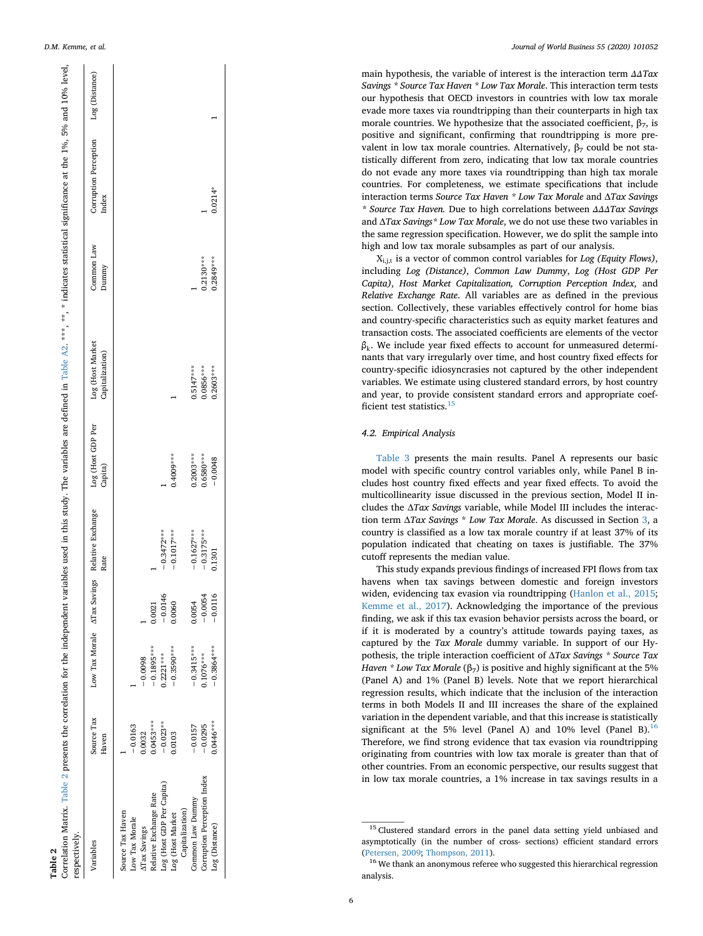<span id="page-5-0"></span>

| Correlation Matrix. Table 2 presents the correlation for the independent variables used in this study. The variables are defined in Table A2. ***, **, * indicates statistical significance at the 1%, 5% and 10% level,<br>respectively. |                     |              |           |                                                       |                              |                                     |                     |                                |                |
|-------------------------------------------------------------------------------------------------------------------------------------------------------------------------------------------------------------------------------------------|---------------------|--------------|-----------|-------------------------------------------------------|------------------------------|-------------------------------------|---------------------|--------------------------------|----------------|
| Variables                                                                                                                                                                                                                                 | Source Tax<br>Haven |              |           | Low Tax Morale ATax Savings Relative Exchange<br>Rate | Log (Host GDP Per<br>Capita) | Log (Host Market<br>Capitalization) | Common Law<br>Dummy | Corruption Perception<br>Index | Log (Distance) |
| Source Tax Haven                                                                                                                                                                                                                          |                     |              |           |                                                       |                              |                                     |                     |                                |                |
| Low Tax Morale                                                                                                                                                                                                                            | $-0.0163$           |              |           |                                                       |                              |                                     |                     |                                |                |
| <b>ATax Savings</b>                                                                                                                                                                                                                       | 0.0032              | $-0.0098$    |           |                                                       |                              |                                     |                     |                                |                |
| Relative Exchange Rate                                                                                                                                                                                                                    | $0.0453***$         | $-0.1895***$ | 0.0021    |                                                       |                              |                                     |                     |                                |                |
| Log (Host GDP Per Capita)                                                                                                                                                                                                                 | $-0.023***$         | $0.2221***$  | $-0.0146$ | $-0.3472***$                                          |                              |                                     |                     |                                |                |
| Log (Host Market                                                                                                                                                                                                                          | 0.0103              | $-0.3590***$ | 0.0060    | $-0.1017***$                                          | $0.4009***$                  |                                     |                     |                                |                |
| Capitalization)                                                                                                                                                                                                                           |                     |              |           |                                                       |                              |                                     |                     |                                |                |
| Common Law Dummy                                                                                                                                                                                                                          | $-0.0157$           | $-0.3415***$ | 0.0054    | $-0.1627***$                                          | $0.2003***$                  | $0.5147***$                         |                     |                                |                |
| Corruption Perception Index                                                                                                                                                                                                               | $-0.0295$           | $0.1076***$  | $-0.0054$ | $-0.3175***$                                          | $0.6580***$                  | $0.0856***$                         | $0.2130***$         |                                |                |
| Log (Distance)                                                                                                                                                                                                                            | $0.0446***$         | $-0.3864***$ | $-0.0116$ | 0.1301                                                | $-0.0048$                    | $0.2603***$                         | $0.2849***$         | $0.0214*$                      |                |
|                                                                                                                                                                                                                                           |                     |              |           |                                                       |                              |                                     |                     |                                |                |

main hypothesis, the variable of interest is the interaction term *ΔΔTax Savings \* Source Tax Haven \* Low Tax Morale*. This interaction term tests our hypothesis that OECD investors in countries with low tax morale evade more taxes via roundtripping than their counterparts in high tax morale countries. We hypothesize that the associated coefficient,  $\beta_7$ , is positive and significant, confirming that roundtripping is more prevalent in low tax morale countries. Alternatively,  $β_7$  could be not statistically different from zero, indicating that low tax morale countries do not evade any more taxes via roundtripping than high tax morale countries. For completeness, we estimate specifications that include interaction terms *Source Tax Haven \* Low Tax Morale* and Δ*Tax Savings \* Source Tax Haven.* Due to high correlations between *ΔΔΔTax Savings* and Δ*Tax Savings\* Low Tax Morale*, we do not use these two variables in the same regression specification. However, we do split the sample into high and low tax morale subsamples as part of our analysis.

Xi,j,t is a vector of common control variables for *Log (Equity Flows)* , including *Log (Distance)* , *Common Law Dummy* , *Log (Host GDP Per Capita)* , *Host Market Capitalization, Corruption Perception Index,* and *Relative Exchange Rate*. All variables are as defined in the previous section. Collectively, these variables effectively control for home bias and country-specific characteristics such as equity market features and transaction costs. The associated coefficients are elements of the vector  $\beta_k$ . We include year fixed effects to account for unmeasured determinants that vary irregularly over time, and host country fixed effects for country-specific idiosyncrasies not captured by the other independent variables. We estimate using clustered standard errors, by host country and year, to provide consistent standard errors and appropriate coef-ficient test statistics.<sup>[15](#page-5-1)</sup>

# *4.2. Empirical Analysis*

[Table 3](#page-6-0) presents the main results. Panel A represents our basic model with specific country control variables only, while Panel B includes host country fixed effects and year fixed effects. To avoid the multicollinearity issue discussed in the previous section, Model II includes the Δ*Tax Savings* variable, while Model III includes the interaction term Δ*Tax Savings* \* *Low Tax Morale*. As discussed in Section [3,](#page-3-0) a country is classified as a low tax morale country if at least 37% of its population indicated that cheating on taxes is justifiable. The 37% cutoff represents the median value.

This study expands previous findings of increased FPI flows from tax havens when tax savings between domestic and foreign investors widen, evidencing tax evasion via roundtripping ([Hanlon et al., 2015](#page-11-6) ; [Kemme et al., 2017](#page-11-7)). Acknowledging the importance of the previous finding, we ask if this tax evasion behavior persists across the board, or if it is moderated by a country's attitude towards paying taxes, as captured by the *Tax Morale* dummy variable. In support of our Hypothesis, the triple interaction coefficient of Δ*Tax Savings \* Source Tax Haven \* Low Tax Morale* (β 7) is positive and highly significant at the 5% (Panel A) and 1% (Panel B) levels. Note that we report hierarchical regression results, which indicate that the inclusion of the interaction terms in both Models II and III increases the share of the explained variation in the dependent variable, and that this increase is statistically significant at the 5% level (Panel A) and 10% level (Panel B). $^{16}$  $^{16}$  $^{16}$ Therefore, we find strong evidence that tax evasion via roundtripping originating from countries with low tax morale is greater than that of other countries. From an economic perspective, our results suggest that in low tax morale countries, a 1% increase in tax savings results in a

<span id="page-5-1"></span><sup>&</sup>lt;sup>15</sup> Clustered standard errors in the panel data setting yield unbiased and asymptotically (in the number of cross- sections) efficient standard errors [\(Petersen, 2009;](#page-11-53) [Thompson, 2011\)](#page-11-54).

<span id="page-5-2"></span><sup>&</sup>lt;sup>16</sup> We thank an anonymous referee who suggested this hierarchical regression analysis.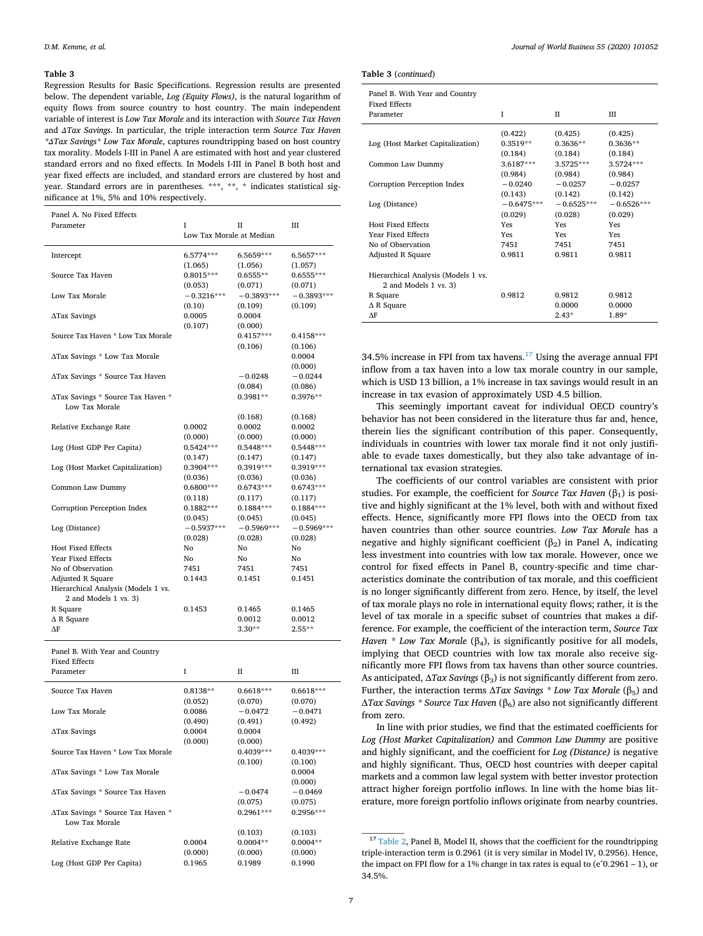<span id="page-6-0"></span>Regression Results for Basic Specifications. Regression results are presented below. The dependent variable, *Log (Equity Flows)*, is the natural logarithm of equity flows from source country to host country. The main independent variable of interest is *Low Tax Morale* and its interaction with *Source Tax Haven* and *ΔTax Savings*. In particular, the triple interaction term *Source Tax Haven \*ΔTax Savings\* Low Tax Morale*, captures roundtripping based on host country tax morality. Models I-III in Panel A are estimated with host and year clustered standard errors and no fixed effects. In Models I-III in Panel B both host and year fixed effects are included, and standard errors are clustered by host and year. Standard errors are in parentheses. \*\*\*, \*\*, \* indicates statistical significance at 1%, 5% and 10% respectively.

| Panel A. No Fixed Effects           |                          |              |              |
|-------------------------------------|--------------------------|--------------|--------------|
| Parameter                           | I                        | П            | Ш            |
|                                     | Low Tax Morale at Median |              |              |
|                                     |                          |              |              |
| Intercept                           | 6.5774***                | 6.5659***    | 6.5657***    |
|                                     | (1.065)                  | (1.056)      | (1.057)      |
| Source Tax Haven                    | $0.8015***$              | $0.6555**$   | $0.6555***$  |
|                                     | (0.053)                  | (0.071)      | (0.071)      |
| Low Tax Morale                      | $-0.3216***$             | $-0.3893***$ | $-0.3893***$ |
|                                     | (0.10)                   | (0.109)      | (0.109)      |
| $\Delta$ Tax Savings                | 0.0005                   | 0.0004       |              |
|                                     | (0.107)                  | (0.000)      |              |
| Source Tax Haven * Low Tax Morale   |                          | $0.4157***$  | $0.4158***$  |
|                                     |                          | (0.106)      | (0.106)      |
| ATax Savings * Low Tax Morale       |                          |              | 0.0004       |
|                                     |                          |              | (0.000)      |
| ATax Savings * Source Tax Haven     |                          | $-0.0248$    | $-0.0244$    |
|                                     |                          | (0.084)      | (0.086)      |
| ATax Savings * Source Tax Haven *   |                          | 0.3981**     | $0.3976**$   |
| Low Tax Morale                      |                          |              |              |
|                                     |                          | (0.168)      | (0.168)      |
| Relative Exchange Rate              | 0.0002                   | 0.0002       | 0.0002       |
|                                     | (0.000)                  | (0.000)      | (0.000)      |
| Log (Host GDP Per Capita)           | $0.5424***$              | $0.5448***$  | $0.5448***$  |
|                                     | (0.147)                  | (0.147)      | (0.147)      |
| Log (Host Market Capitalization)    | 0.3904***                | 0.3919***    | 0.3919***    |
|                                     | (0.036)                  | (0.036)      | (0.036)      |
| Common Law Dummy                    | $0.6800***$              | $0.6743***$  | $0.6743***$  |
|                                     | (0.118)                  | (0.117)      | (0.117)      |
| Corruption Perception Index         | 0.1882***                | 0.1884***    | $0.1884***$  |
|                                     | (0.045)                  | (0.045)      | (0.045)      |
| Log (Distance)                      | $-0.5937***$             | $-0.5969***$ | $-0.5969***$ |
|                                     | (0.028)                  | (0.028)      | (0.028)      |
| <b>Host Fixed Effects</b>           | No                       | No           | No           |
| Year Fixed Effects                  | No                       | No           | No           |
| No of Observation                   | 7451                     | 7451         | 7451         |
| Adjusted R Square                   | 0.1443                   | 0.1451       | 0.1451       |
| Hierarchical Analysis (Models 1 vs. |                          |              |              |
| 2 and Models 1 vs. 3)               |                          |              |              |
| R Square                            | 0.1453                   | 0.1465       | 0.1465       |
| $\Delta$ R Square                   |                          | 0.0012       | 0.0012       |
| $\Delta F$                          |                          | $3.30**$     | $2.55**$     |
|                                     |                          |              |              |
| Panel B. With Year and Country      |                          |              |              |
| <b>Fixed Effects</b>                |                          |              |              |
| Parameter                           | I                        | $_{\rm II}$  | III          |
|                                     |                          |              |              |
| Source Tax Haven                    | $0.8138**$               | $0.6618***$  | $0.6618***$  |
|                                     | (0.052)                  | (0.070)      | (0.070)      |
| Low Tax Morale                      | 0.0086                   | $-0.0472$    | $-0.0471$    |
|                                     | (0.490)                  | (0.491)      | (0.492)      |
| $\Delta$ Tax Savings                | 0.0004                   | 0.0004       |              |
|                                     | (0.000)                  | (0.000)      |              |
| Source Tax Haven * Low Tax Morale   |                          | 0.4039 ***   | 0.4039***    |
|                                     |                          | (0.100)      | (0.100)      |
| ΔTax Savings * Low Tax Morale       |                          |              | 0.0004       |
|                                     |                          |              | (0.000)      |
| ∆Tax Savings * Source Tax Haven     |                          | $-0.0474$    | $-0.0469$    |
|                                     |                          | (0.075)      | (0.075)      |
| ATax Savings * Source Tax Haven *   |                          | $0.2961***$  | $0.2956***$  |
| Low Tax Morale                      |                          |              |              |
|                                     |                          |              |              |

Relative Exchange Rate 0.0004

Log (Host GDP Per Capita) 0.1965 0.1989 0.1990

|  |  | Table 3 (continued) |
|--|--|---------------------|
|--|--|---------------------|

|  |  | Panel B. With Year and Country |
|--|--|--------------------------------|

| <b>Fixed Effects</b>                                         |              |              |              |
|--------------------------------------------------------------|--------------|--------------|--------------|
| Parameter                                                    | T            | $_{\rm II}$  | Ш            |
|                                                              | (0.422)      | (0.425)      | (0.425)      |
| Log (Host Market Capitalization)                             | $0.3519**$   | $0.3636**$   | $0.3636**$   |
|                                                              | (0.184)      | (0.184)      | (0.184)      |
| Common Law Dummy                                             | 3.6187***    | 3.5725***    | 3.5724***    |
|                                                              | (0.984)      | (0.984)      | (0.984)      |
| Corruption Perception Index                                  | $-0.0240$    | $-0.0257$    | $-0.0257$    |
|                                                              | (0.143)      | (0.142)      | (0.142)      |
| Log (Distance)                                               | $-0.6475***$ | $-0.6525***$ | $-0.6526***$ |
|                                                              | (0.029)      | (0.028)      | (0.029)      |
| <b>Host Fixed Effects</b>                                    | Yes          | Yes          | Yes          |
| Year Fixed Effects                                           | <b>Yes</b>   | <b>Yes</b>   | Yes          |
| No of Observation                                            | 7451         | 7451         | 7451         |
| Adjusted R Square                                            | 0.9811       | 0.9811       | 0.9811       |
| Hierarchical Analysis (Models 1 vs.<br>2 and Models 1 vs. 3) |              |              |              |
| R Square                                                     | 0.9812       | 0.9812       | 0.9812       |
| $\triangle$ R Square                                         |              | 0.0000       | 0.0000       |
| ΛF                                                           |              | $2.43*$      | $1.89*$      |

34.5% increase in FPI from tax havens. $17$  Using the average annual FPI inflow from a tax haven into a low tax morale country in our sample, which is USD 13 billion, a 1% increase in tax savings would result in an increase in tax evasion of approximately USD 4.5 billion.

This seemingly important caveat for individual OECD country's behavior has not been considered in the literature thus far and, hence, therein lies the significant contribution of this paper. Consequently, individuals in countries with lower tax morale find it not only justifiable to evade taxes domestically, but they also take advantage of international tax evasion strategies.

The coefficients of our control variables are consistent with prior studies. For example, the coefficient for *Source Tax Haven*  $(\beta_1)$  is positive and highly significant at the 1% level, both with and without fixed effects. Hence, significantly more FPI flows into the OECD from tax haven countries than other source countries. *Low Tax Morale* has a negative and highly significant coefficient  $(\beta_2)$  in Panel A, indicating less investment into countries with low tax morale. However, once we control for fixed effects in Panel B, country-specific and time characteristics dominate the contribution of tax morale, and this coefficient is no longer significantly different from zero. Hence, by itself, the level of tax morale plays no role in international equity flows; rather, it is the level of tax morale in a specific subset of countries that makes a difference. For example, the coefficient of the interaction term, *Source Tax Haven \* Low Tax Morale* ( $\beta_4$ ), is significantly positive for all models, implying that OECD countries with low tax morale also receive significantly more FPI flows from tax havens than other source countries. As anticipated, Δ*Tax Savings* (β3) is not significantly different from zero. Further, the interaction terms  $ΔTax$  *Savings \* Low Tax Morale* (β<sub>5</sub>) and Δ*Tax Savings \* Source Tax Haven* (β6) are also not significantly different from zero.

In line with prior studies, we find that the estimated coefficients for *Log (Host Market Capitalization)* and *Common Law Dummy* are positive and highly significant, and the coefficient for *Log (Distance)* is negative and highly significant. Thus, OECD host countries with deeper capital markets and a common law legal system with better investor protection attract higher foreign portfolio inflows. In line with the home bias literature, more foreign portfolio inflows originate from nearby countries.

 $(0.103)$   $(0.103)$ <br> $0.0004**$   $0.0004**$ 

 $(0.000)$   $(0.000)$   $(0.000)$ 

<span id="page-6-1"></span><sup>&</sup>lt;sup>17</sup> [Table 2](#page-5-0), Panel B, Model II, shows that the coefficient for the roundtripping triple-interaction term is 0.2961 (it is very similar in Model IV, 0.2956). Hence, the impact on FPI flow for a 1% change in tax rates is equal to  $(e^0.2961 - 1)$ , or 34.5%.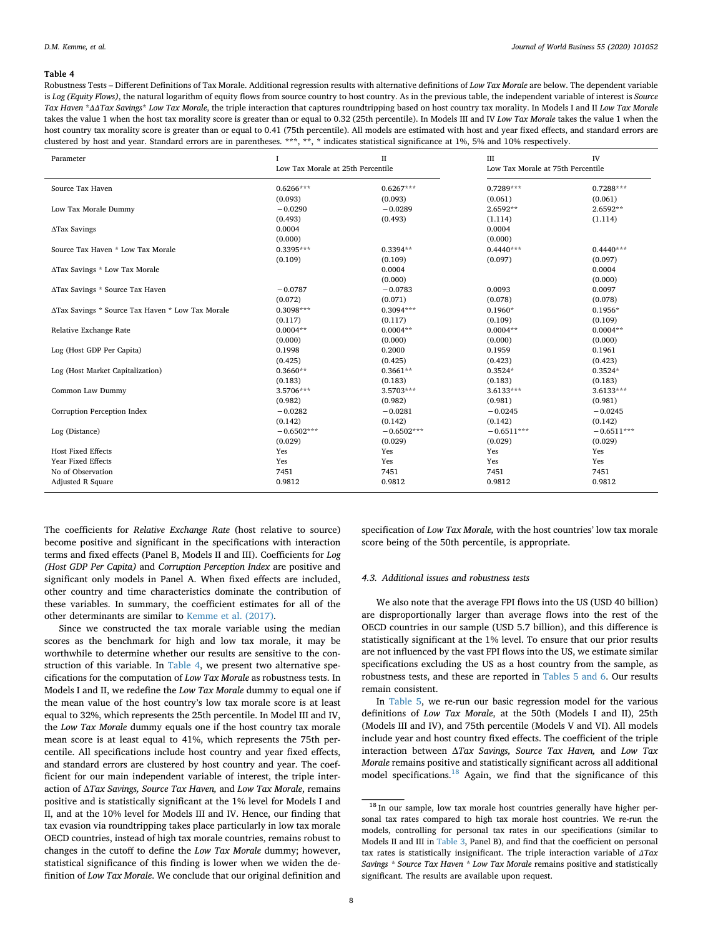<span id="page-7-0"></span>Robustness Tests – Different Definitions of Tax Morale. Additional regression results with alternative definitions of *Low Tax Morale* are below. The dependent variable is *Log (Equity Flows)*, the natural logarithm of equity flows from source country to host country. As in the previous table, the independent variable of interest is *Source Tax Haven* \**ΔΔTax Savings*\* *Low Tax Morale*, the triple interaction that captures roundtripping based on host country tax morality. In Models I and II *Low Tax Morale* takes the value 1 when the host tax morality score is greater than or equal to 0.32 (25th percentile). In Models III and IV *Low Tax Morale* takes the value 1 when the host country tax morality score is greater than or equal to 0.41 (75th percentile). All models are estimated with host and year fixed effects, and standard errors are clustered by host and year. Standard errors are in parentheses. \*\*\*, \*\*, \* indicates statistical significance at 1%, 5% and 10% respectively.

| Parameter                                        | 1<br>Low Tax Morale at 25th Percentile | $_{\text{II}}$ | III<br>Low Tax Morale at 75th Percentile | <b>IV</b>    |
|--------------------------------------------------|----------------------------------------|----------------|------------------------------------------|--------------|
| Source Tax Haven                                 | $0.6266***$                            | $0.6267***$    | $0.7289***$                              | $0.7288***$  |
|                                                  | (0.093)                                | (0.093)        | (0.061)                                  | (0.061)      |
| Low Tax Morale Dummy                             | $-0.0290$                              | $-0.0289$      | 2.6592**                                 | 2.6592**     |
|                                                  | (0.493)                                | (0.493)        | (1.114)                                  | (1.114)      |
| ΔTax Savings                                     | 0.0004                                 |                | 0.0004                                   |              |
|                                                  | (0.000)                                |                | (0.000)                                  |              |
| Source Tax Haven * Low Tax Morale                | $0.3395***$                            | $0.3394**$     | $0.4440***$                              | $0.4440***$  |
|                                                  | (0.109)                                | (0.109)        | (0.097)                                  | (0.097)      |
| ATax Savings * Low Tax Morale                    |                                        | 0.0004         |                                          | 0.0004       |
|                                                  |                                        | (0.000)        |                                          | (0.000)      |
| ATax Savings * Source Tax Haven                  | $-0.0787$                              | $-0.0783$      | 0.0093                                   | 0.0097       |
|                                                  | (0.072)                                | (0.071)        | (0.078)                                  | (0.078)      |
| ATax Savings * Source Tax Haven * Low Tax Morale | $0.3098***$                            | $0.3094***$    | $0.1960*$                                | $0.1956*$    |
|                                                  | (0.117)                                | (0.117)        | (0.109)                                  | (0.109)      |
| Relative Exchange Rate                           | $0.0004**$                             | $0.0004**$     | $0.0004**$                               | $0.0004**$   |
|                                                  | (0.000)                                | (0.000)        | (0.000)                                  | (0.000)      |
| Log (Host GDP Per Capita)                        | 0.1998                                 | 0.2000         | 0.1959                                   | 0.1961       |
|                                                  | (0.425)                                | (0.425)        | (0.423)                                  | (0.423)      |
| Log (Host Market Capitalization)                 | $0.3660**$                             | $0.3661**$     | $0.3524*$                                | $0.3524*$    |
|                                                  | (0.183)                                | (0.183)        | (0.183)                                  | (0.183)      |
| Common Law Dummy                                 | 3.5706***                              | 3.5703***      | $3.6133***$                              | $3.6133***$  |
|                                                  | (0.982)                                | (0.982)        | (0.981)                                  | (0.981)      |
| Corruption Perception Index                      | $-0.0282$                              | $-0.0281$      | $-0.0245$                                | $-0.0245$    |
|                                                  | (0.142)                                | (0.142)        | (0.142)                                  | (0.142)      |
| Log (Distance)                                   | $-0.6502***$                           | $-0.6502***$   | $-0.6511***$                             | $-0.6511***$ |
|                                                  | (0.029)                                | (0.029)        | (0.029)                                  | (0.029)      |
| <b>Host Fixed Effects</b>                        | Yes                                    | Yes            | Yes                                      | Yes          |
| Year Fixed Effects                               | Yes                                    | Yes            | Yes                                      | Yes          |
| No of Observation                                | 7451                                   | 7451           | 7451                                     | 7451         |
| Adjusted R Square                                | 0.9812                                 | 0.9812         | 0.9812                                   | 0.9812       |

The coefficients for *Relative Exchange Rate* (host relative to source) become positive and significant in the specifications with interaction terms and fixed effects (Panel B, Models II and III). Coefficients for *Log (Host GDP Per Capita)* and *Corruption Perception Index* are positive and significant only models in Panel A. When fixed effects are included, other country and time characteristics dominate the contribution of these variables. In summary, the coefficient estimates for all of the other determinants are similar to [Kemme et al. \(2017\).](#page-11-7)

Since we constructed the tax morale variable using the median scores as the benchmark for high and low tax morale, it may be worthwhile to determine whether our results are sensitive to the construction of this variable. In [Table 4](#page-7-0), we present two alternative specifications for the computation of *Low Tax Morale* as robustness tests. In Models I and II, we redefine the *Low Tax Morale* dummy to equal one if the mean value of the host country's low tax morale score is at least equal to 32%, which represents the 25th percentile. In Model III and IV, the *Low Tax Morale* dummy equals one if the host country tax morale mean score is at least equal to 41%, which represents the 75th percentile. All specifications include host country and year fixed effects, and standard errors are clustered by host country and year. The coefficient for our main independent variable of interest, the triple interaction of Δ*Tax Savings, Source Tax Haven,* and *Low Tax Morale*, remains positive and is statistically significant at the 1% level for Models I and II, and at the 10% level for Models III and IV. Hence, our finding that tax evasion via roundtripping takes place particularly in low tax morale OECD countries, instead of high tax morale countries, remains robust to changes in the cutoff to define the *Low Tax Morale* dummy; however, statistical significance of this finding is lower when we widen the definition of *Low Tax Morale*. We conclude that our original definition and specification of *Low Tax Morale,* with the host countries' low tax morale score being of the 50th percentile, is appropriate.

### *4.3. Additional issues and robustness tests*

We also note that the average FPI flows into the US (USD 40 billion) are disproportionally larger than average flows into the rest of the OECD countries in our sample (USD 5.7 billion), and this difference is statistically significant at the 1% level. To ensure that our prior results are not influenced by the vast FPI flows into the US, we estimate similar specifications excluding the US as a host country from the sample, as robustness tests, and these are reported in [Tables 5 and 6](#page-8-1). Our results remain consistent.

In [Table 5](#page-8-1), we re-run our basic regression model for the various definitions of *Low Tax Morale*, at the 50th (Models I and II), 25th (Models III and IV), and 75th percentile (Models V and VI). All models include year and host country fixed effects. The coefficient of the triple interaction between Δ*Tax Savings, Source Tax Haven,* and *Low Tax Morale* remains positive and statistically significant across all additional model specifications.<sup>[18](#page-7-1)</sup> Again, we find that the significance of this

<span id="page-7-1"></span><sup>&</sup>lt;sup>18</sup> In our sample, low tax morale host countries generally have higher personal tax rates compared to high tax morale host countries. We re-run the models, controlling for personal tax rates in our specifications (similar to Models II and III in [Table 3](#page-6-0), Panel B), and find that the coefficient on personal tax rates is statistically insignificant. The triple interaction variable of *ΔTax Savings \* Source Tax Haven \* Low Tax Morale* remains positive and statistically significant. The results are available upon request.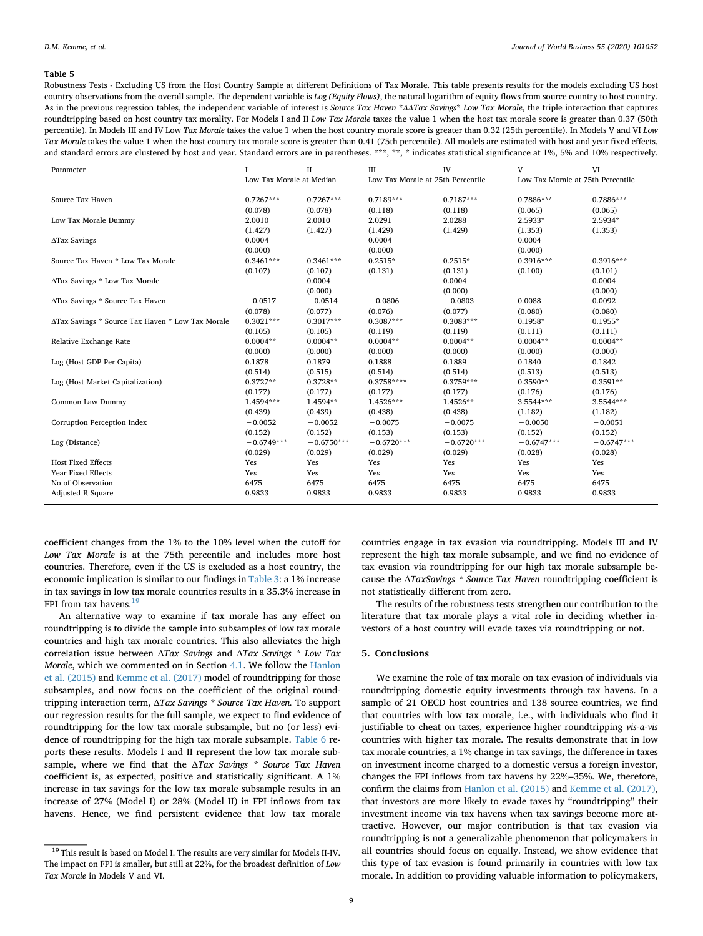<span id="page-8-1"></span>Robustness Tests - Excluding US from the Host Country Sample at different Definitions of Tax Morale. This table presents results for the models excluding US host country observations from the overall sample. The dependent variable is *Log (Equity Flows)*, the natural logarithm of equity flows from source country to host country. As in the previous regression tables, the independent variable of interest is *Source Tax Haven* \**ΔΔTax Savings*\* *Low Tax Morale*, the triple interaction that captures roundtripping based on host country tax morality. For Models I and II *Low Tax Morale* taxes the value 1 when the host tax morale score is greater than 0.37 (50th percentile). In Models III and IV Low *Tax Morale* takes the value 1 when the host country morale score is greater than 0.32 (25th percentile). In Models V and VI *Low Tax Morale* takes the value 1 when the host country tax morale score is greater than 0.41 (75th percentile). All models are estimated with host and year fixed effects, and standard errors are clustered by host and year. Standard errors are in parentheses. \*\*\*, \*\*, \* indicates statistical significance at 1%, 5% and 10% respectively.

| Parameter                                        | T<br>Low Tax Morale at Median | $_{\rm II}$       | Ш<br>Low Tax Morale at 25th Percentile | <b>IV</b>         | V<br>Low Tax Morale at 75th Percentile | VI                |
|--------------------------------------------------|-------------------------------|-------------------|----------------------------------------|-------------------|----------------------------------------|-------------------|
| Source Tax Haven                                 | $0.7267***$                   | $0.7267***$       | $0.7189***$                            | $0.7187***$       | 0.7886***                              | 0.7886***         |
|                                                  | (0.078)                       | (0.078)           | (0.118)                                | (0.118)           | (0.065)                                | (0.065)           |
| Low Tax Morale Dummy                             | 2.0010                        | 2.0010            | 2.0291                                 | 2.0288            | 2.5933*                                | 2.5934*           |
|                                                  | (1.427)                       | (1.427)           | (1.429)                                | (1.429)           | (1.353)                                | (1.353)           |
| $\Delta$ Tax Savings                             | 0.0004<br>(0.000)             |                   | 0.0004<br>(0.000)                      |                   | 0.0004<br>(0.000)                      |                   |
| Source Tax Haven * Low Tax Morale                | $0.3461***$                   | $0.3461***$       | $0.2515*$                              | $0.2515*$         | $0.3916***$                            | $0.3916***$       |
|                                                  | (0.107)                       | (0.107)           | (0.131)                                | (0.131)           | (0.100)                                | (0.101)           |
| ΔTax Savings * Low Tax Morale                    |                               | 0.0004<br>(0.000) |                                        | 0.0004<br>(0.000) |                                        | 0.0004<br>(0.000) |
| ATax Savings * Source Tax Haven                  | $-0.0517$                     | $-0.0514$         | $-0.0806$                              | $-0.0803$         | 0.0088                                 | 0.0092            |
|                                                  | (0.078)                       | (0.077)           | (0.076)                                | (0.077)           | (0.080)                                | (0.080)           |
| ATax Savings * Source Tax Haven * Low Tax Morale | $0.3021***$                   | $0.3017***$       | $0.3087***$                            | $0.3083***$       | $0.1958*$                              | $0.1955*$         |
|                                                  | (0.105)                       | (0.105)           | (0.119)                                | (0.119)           | (0.111)                                | (0.111)           |
| Relative Exchange Rate                           | $0.0004**$                    | $0.0004**$        | $0.0004**$                             | $0.0004**$        | $0.0004**$                             | $0.0004**$        |
|                                                  | (0.000)                       | (0.000)           | (0.000)                                | (0.000)           | (0.000)                                | (0.000)           |
| Log (Host GDP Per Capita)                        | 0.1878                        | 0.1879            | 0.1888                                 | 0.1889            | 0.1840                                 | 0.1842            |
|                                                  | (0.514)                       | (0.515)           | (0.514)                                | (0.514)           | (0.513)                                | (0.513)           |
| Log (Host Market Capitalization)                 | $0.3727**$                    | $0.3728**$        | $0.3758***$                            | $0.3759***$       | $0.3590**$                             | $0.3591**$        |
|                                                  | (0.177)                       | (0.177)           | (0.177)                                | (0.177)           | (0.176)                                | (0.176)           |
| Common Law Dummy                                 | 1.4594***                     | 1.4594**          | $1.4526***$                            | 1.4526**          | 3.5544***                              | 3.5544***         |
|                                                  | (0.439)                       | (0.439)           | (0.438)                                | (0.438)           | (1.182)                                | (1.182)           |
| Corruption Perception Index                      | $-0.0052$                     | $-0.0052$         | $-0.0075$                              | $-0.0075$         | $-0.0050$                              | $-0.0051$         |
|                                                  | (0.152)                       | (0.152)           | (0.153)                                | (0.153)           | (0.152)                                | (0.152)           |
| Log (Distance)                                   | $-0.6749***$                  | $-0.6750***$      | $-0.6720***$                           | $-0.6720***$      | $-0.6747***$                           | $-0.6747***$      |
|                                                  | (0.029)                       | (0.029)           | (0.029)                                | (0.029)           | (0.028)                                | (0.028)           |
| <b>Host Fixed Effects</b>                        | Yes                           | Yes               | Yes                                    | Yes               | Yes                                    | Yes               |
| Year Fixed Effects                               | Yes                           | Yes               | Yes                                    | Yes               | Yes                                    | Yes               |
| No of Observation                                | 6475                          | 6475              | 6475                                   | 6475              | 6475                                   | 6475              |
| <b>Adjusted R Square</b>                         | 0.9833                        | 0.9833            | 0.9833                                 | 0.9833            | 0.9833                                 | 0.9833            |

coefficient changes from the 1% to the 10% level when the cutoff for *Low Tax Morale* is at the 75th percentile and includes more host countries. Therefore, even if the US is excluded as a host country, the economic implication is similar to our findings in [Table 3:](#page-6-0) a 1% increase in tax savings in low tax morale countries results in a 35.3% increase in FPI from tax havens.<sup>19</sup>

An alternative way to examine if tax morale has any effect on roundtripping is to divide the sample into subsamples of low tax morale countries and high tax morale countries. This also alleviates the high correlation issue between Δ*Tax Savings* and Δ*Tax Savings \* Low Tax Morale*, which we commented on in Section [4.1](#page-4-6). We follow the [Hanlon](#page-11-6) [et al. \(2015\)](#page-11-6) and [Kemme et al. \(2017\)](#page-11-7) model of roundtripping for those subsamples, and now focus on the coefficient of the original roundtripping interaction term, Δ*Tax Savings \* Source Tax Haven.* To support our regression results for the full sample, we expect to find evidence of roundtripping for the low tax morale subsample, but no (or less) evidence of roundtripping for the high tax morale subsample. [Table 6](#page-9-0) reports these results. Models I and II represent the low tax morale subsample, where we find that the Δ*Tax Savings \* Source Tax Haven* coefficient is, as expected, positive and statistically significant. A 1% increase in tax savings for the low tax morale subsample results in an increase of 27% (Model I) or 28% (Model II) in FPI inflows from tax havens. Hence, we find persistent evidence that low tax morale

countries engage in tax evasion via roundtripping. Models III and IV represent the high tax morale subsample, and we find no evidence of tax evasion via roundtripping for our high tax morale subsample because the Δ*TaxSavings \* Source Tax Haven* roundtripping coefficient is not statistically different from zero.

The results of the robustness tests strengthen our contribution to the literature that tax morale plays a vital role in deciding whether investors of a host country will evade taxes via roundtripping or not.

#### <span id="page-8-0"></span>**5. Conclusions**

We examine the role of tax morale on tax evasion of individuals via roundtripping domestic equity investments through tax havens. In a sample of 21 OECD host countries and 138 source countries, we find that countries with low tax morale, i.e., with individuals who find it justifiable to cheat on taxes, experience higher roundtripping *vis-a-vis* countries with higher tax morale. The results demonstrate that in low tax morale countries, a 1% change in tax savings, the difference in taxes on investment income charged to a domestic versus a foreign investor, changes the FPI inflows from tax havens by 22%–35%. We, therefore, confirm the claims from [Hanlon et al. \(2015\)](#page-11-6) and [Kemme et al. \(2017\)](#page-11-7), that investors are more likely to evade taxes by "roundtripping" their investment income via tax havens when tax savings become more attractive. However, our major contribution is that tax evasion via roundtripping is not a generalizable phenomenon that policymakers in all countries should focus on equally. Instead, we show evidence that this type of tax evasion is found primarily in countries with low tax morale. In addition to providing valuable information to policymakers,

<span id="page-8-2"></span> $^{19}$  This result is based on Model I. The results are very similar for Models II-IV. The impact on FPI is smaller, but still at 22%, for the broadest definition of *Low Tax Morale* in Models V and VI.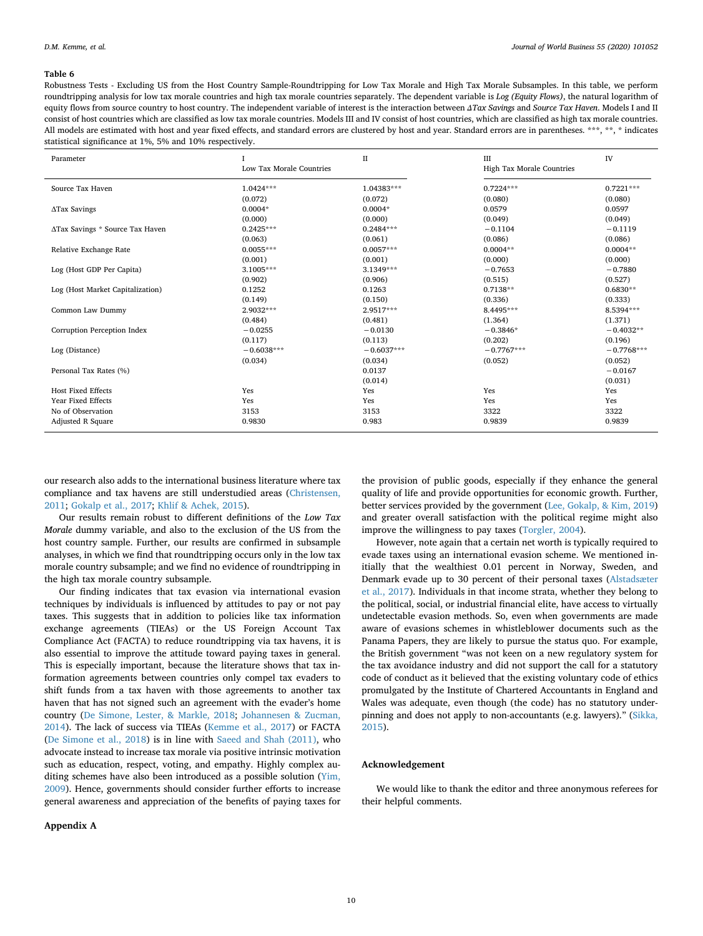<span id="page-9-0"></span>Robustness Tests - Excluding US from the Host Country Sample-Roundtripping for Low Tax Morale and High Tax Morale Subsamples. In this table, we perform roundtripping analysis for low tax morale countries and high tax morale countries separately. The dependent variable is *Log (Equity Flows)*, the natural logarithm of equity flows from source country to host country. The independent variable of interest is the interaction between *ΔTax Savings* and *Source Tax Haven*. Models I and II consist of host countries which are classified as low tax morale countries. Models III and IV consist of host countries, which are classified as high tax morale countries. All models are estimated with host and year fixed effects, and standard errors are clustered by host and year. Standard errors are in parentheses. \*\*\*, \*\*, \* indicates statistical significance at 1%, 5% and 10% respectively.

| Parameter                        |                          | $_{\rm II}$  | III                       | IV           |
|----------------------------------|--------------------------|--------------|---------------------------|--------------|
|                                  | Low Tax Morale Countries |              | High Tax Morale Countries |              |
| Source Tax Haven                 | $1.0424***$              | $1.04383***$ | $0.7224***$               | $0.7221***$  |
|                                  | (0.072)                  | (0.072)      | (0.080)                   | (0.080)      |
| ΔTax Savings                     | $0.0004*$                | $0.0004*$    | 0.0579                    | 0.0597       |
|                                  | (0.000)                  | (0.000)      | (0.049)                   | (0.049)      |
| ATax Savings * Source Tax Haven  | $0.2425***$              | $0.2484***$  | $-0.1104$                 | $-0.1119$    |
|                                  | (0.063)                  | (0.061)      | (0.086)                   | (0.086)      |
| Relative Exchange Rate           | $0.0055***$              | $0.0057***$  | $0.0004**$                | $0.0004**$   |
|                                  | (0.001)                  | (0.001)      | (0.000)                   | (0.000)      |
| Log (Host GDP Per Capita)        | $3.1005***$              | $3.1349***$  | $-0.7653$                 | $-0.7880$    |
|                                  | (0.902)                  | (0.906)      | (0.515)                   | (0.527)      |
| Log (Host Market Capitalization) | 0.1252                   | 0.1263       | $0.7138**$                | $0.6830**$   |
|                                  | (0.149)                  | (0.150)      | (0.336)                   | (0.333)      |
| Common Law Dummy                 | 2.9032***                | 2.9517***    | 8.4495***                 | 8.5394***    |
|                                  | (0.484)                  | (0.481)      | (1.364)                   | (1.371)      |
| Corruption Perception Index      | $-0.0255$                | $-0.0130$    | $-0.3846*$                | $-0.4032**$  |
|                                  | (0.117)                  | (0.113)      | (0.202)                   | (0.196)      |
| Log (Distance)                   | $-0.6038***$             | $-0.6037***$ | $-0.7767***$              | $-0.7768***$ |
|                                  | (0.034)                  | (0.034)      | (0.052)                   | (0.052)      |
| Personal Tax Rates (%)           |                          | 0.0137       |                           | $-0.0167$    |
|                                  |                          | (0.014)      |                           | (0.031)      |
| <b>Host Fixed Effects</b>        | Yes                      | Yes          | Yes                       | Yes          |
| Year Fixed Effects               | Yes                      | Yes          | Yes                       | Yes          |
| No of Observation                | 3153                     | 3153         | 3322                      | 3322         |
| Adjusted R Square                | 0.9830                   | 0.983        | 0.9839                    | 0.9839       |
|                                  |                          |              |                           |              |

our research also adds to the international business literature where tax compliance and tax havens are still understudied areas [\(Christensen,](#page-10-13) [2011;](#page-10-13) [Gokalp et al., 2017;](#page-11-20) [Khlif & Achek, 2015](#page-11-21)).

Our results remain robust to different definitions of the *Low Tax Morale* dummy variable, and also to the exclusion of the US from the host country sample. Further, our results are confirmed in subsample analyses, in which we find that roundtripping occurs only in the low tax morale country subsample; and we find no evidence of roundtripping in the high tax morale country subsample.

Our finding indicates that tax evasion via international evasion techniques by individuals is influenced by attitudes to pay or not pay taxes. This suggests that in addition to policies like tax information exchange agreements (TIEAs) or the US Foreign Account Tax Compliance Act (FACTA) to reduce roundtripping via tax havens, it is also essential to improve the attitude toward paying taxes in general. This is especially important, because the literature shows that tax information agreements between countries only compel tax evaders to shift funds from a tax haven with those agreements to another tax haven that has not signed such an agreement with the evader's home country [\(De Simone, Lester, & Markle, 2018](#page-10-30); [Johannesen & Zucman,](#page-11-11) [2014\)](#page-11-11). The lack of success via TIEAs [\(Kemme et al., 2017](#page-11-7)) or FACTA ([De Simone et al., 2018\)](#page-10-30) is in line with [Saeed and Shah \(2011\)](#page-11-55), who advocate instead to increase tax morale via positive intrinsic motivation such as education, respect, voting, and empathy. Highly complex auditing schemes have also been introduced as a possible solution [\(Yim,](#page-11-56) [2009\)](#page-11-56). Hence, governments should consider further efforts to increase general awareness and appreciation of the benefits of paying taxes for

#### **Appendix A**

the provision of public goods, especially if they enhance the general quality of life and provide opportunities for economic growth. Further, better services provided by the government [\(Lee, Gokalp, & Kim, 2019\)](#page-11-57) and greater overall satisfaction with the political regime might also improve the willingness to pay taxes ([Torgler, 2004\)](#page-11-58).

However, note again that a certain net worth is typically required to evade taxes using an international evasion scheme. We mentioned initially that the wealthiest 0.01 percent in Norway, Sweden, and Denmark evade up to 30 percent of their personal taxes ([Alstadsæter](#page-10-18) [et al., 2017\)](#page-10-18). Individuals in that income strata, whether they belong to the political, social, or industrial financial elite, have access to virtually undetectable evasion methods. So, even when governments are made aware of evasions schemes in whistleblower documents such as the Panama Papers, they are likely to pursue the status quo. For example, the British government "was not keen on a new regulatory system for the tax avoidance industry and did not support the call for a statutory code of conduct as it believed that the existing voluntary code of ethics promulgated by the Institute of Chartered Accountants in England and Wales was adequate, even though (the code) has no statutory underpinning and does not apply to non-accountants (e.g. lawyers)." [\(Sikka,](#page-11-59) [2015\)](#page-11-59).

# **Acknowledgement**

We would like to thank the editor and three anonymous referees for their helpful comments.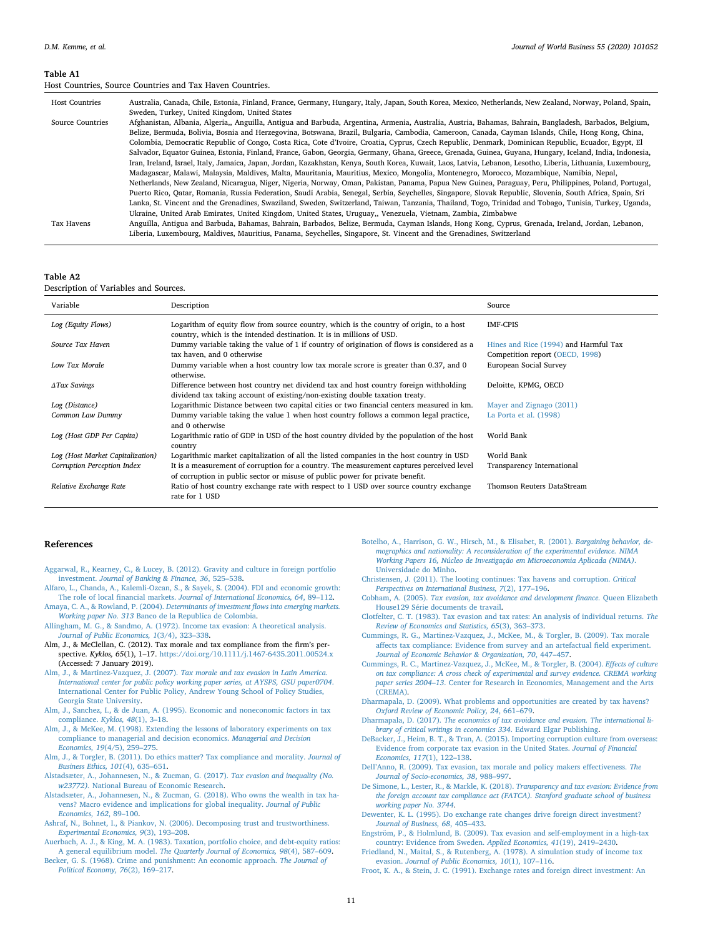#### <span id="page-10-21"></span>**Table A1**

Host Countries, Source Countries and Tax Haven Countries.

| <b>Host Countries</b> | Australia, Canada, Chile, Estonia, Finland, France, Germany, Hungary, Italy, Japan, South Korea, Mexico, Netherlands, New Zealand, Norway, Poland, Spain,     |
|-----------------------|---------------------------------------------------------------------------------------------------------------------------------------------------------------|
|                       | Sweden, Turkey, United Kingdom, United States                                                                                                                 |
| Source Countries      | Afghanistan, Albania, Algeria,, Anguilla, Antigua and Barbuda, Argentina, Armenia, Australia, Austria, Bahamas, Bahrain, Bangladesh, Barbados, Belgium,       |
|                       | Belize, Bermuda, Bolivia, Bosnia and Herzegovina, Botswana, Brazil, Bulgaria, Cambodia, Cameroon, Canada, Cayman Islands, Chile, Hong Kong, China,            |
|                       | Colombia, Democratic Republic of Congo, Costa Rica, Cote d'Ivoire, Croatia, Cyprus, Czech Republic, Denmark, Dominican Republic, Ecuador, Egypt, El           |
|                       | Salvador, Equator Guinea, Estonia, Finland, France, Gabon, Georgia, Germany, Ghana, Greece, Grenada, Guinea, Guyana, Hungary, Iceland, India, Indonesia,      |
|                       | Iran, Ireland, Israel, Italy, Jamaica, Japan, Jordan, Kazakhstan, Kenya, South Korea, Kuwait, Laos, Latvia, Lebanon, Lesotho, Liberia, Lithuania, Luxembourg, |
|                       | Madagascar, Malawi, Malaysia, Maldives, Malta, Mauritania, Mauritius, Mexico, Mongolia, Montenegro, Morocco, Mozambique, Namibia, Nepal,                      |
|                       | Netherlands, New Zealand, Nicaragua, Niger, Nigeria, Norway, Oman, Pakistan, Panama, Papua New Guinea, Paraguay, Peru, Philippines, Poland, Portugal,         |
|                       | Puerto Rico, Oatar, Romania, Russia Federation, Saudi Arabia, Senegal, Serbia, Seychelles, Singapore, Slovak Republic, Slovenia, South Africa, Spain, Sri     |
|                       | Lanka, St. Vincent and the Grenadines, Swaziland, Sweden, Switzerland, Taiwan, Tanzania, Thailand, Togo, Trinidad and Tobago, Tunisia, Turkey, Uganda,        |
|                       | Ukraine, United Arab Emirates, United Kingdom, United States, Uruguay,, Venezuela, Vietnam, Zambia, Zimbabwe                                                  |
| Tax Havens            | Anguilla, Antigua and Barbuda, Bahamas, Bahrain, Barbados, Belize, Bermuda, Cayman Islands, Hong Kong, Cyprus, Grenada, Ireland, Jordan, Lebanon,             |
|                       | Liberia, Luxembourg, Maldives, Mauritius, Panama, Seychelles, Singapore, St. Vincent and the Grenadines, Switzerland                                          |

<span id="page-10-27"></span>**Table A2**

Description of Variables and Sources.

| Variable                         | Description                                                                                                                                                                | Source                                                                   |
|----------------------------------|----------------------------------------------------------------------------------------------------------------------------------------------------------------------------|--------------------------------------------------------------------------|
| Log (Equity Flows)               | Logarithm of equity flow from source country, which is the country of origin, to a host<br>country, which is the intended destination. It is in millions of USD.           | <b>IMF-CPIS</b>                                                          |
| Source Tax Haven                 | Dummy variable taking the value of 1 if country of origination of flows is considered as a<br>tax haven, and 0 otherwise                                                   | Hines and Rice (1994) and Harmful Tax<br>Competition report (OECD, 1998) |
| Low Tax Morale                   | Dummy variable when a host country low tax morale scrore is greater than 0.37, and 0<br>otherwise.                                                                         | European Social Survey                                                   |
| <b>ATax Savings</b>              | Difference between host country net dividend tax and host country foreign withholding<br>dividend tax taking account of existing/non-existing double taxation treaty.      | Deloitte, KPMG, OECD                                                     |
| Log (Distance)                   | Logarithmic Distance between two capital cities or two financial centers measured in km.                                                                                   | Mayer and Zignago (2011)                                                 |
| Common Law Dummy                 | Dummy variable taking the value 1 when host country follows a common legal practice,<br>and 0 otherwise                                                                    | La Porta et al. (1998)                                                   |
| Log (Host GDP Per Capita)        | Logarithmic ratio of GDP in USD of the host country divided by the population of the host<br>country                                                                       | World Bank                                                               |
| Log (Host Market Capitalization) | Logarithmic market capitalization of all the listed companies in the host country in USD                                                                                   | World Bank                                                               |
| Corruption Perception Index      | It is a measurement of corruption for a country. The measurement captures perceived level<br>of corruption in public sector or misuse of public power for private benefit. | Transparency International                                               |
| Relative Exchange Rate           | Ratio of host country exchange rate with respect to 1 USD over source country exchange<br>rate for 1 USD                                                                   | Thomson Reuters DataStream                                               |

# **References**

- <span id="page-10-24"></span>[Aggarwal, R., Kearney, C., & Lucey, B. \(2012\). Gravity and culture in foreign portfolio](http://refhub.elsevier.com/S1090-9516(19)30148-8/sbref0005) investment. *[Journal of Banking & Finance, 36](http://refhub.elsevier.com/S1090-9516(19)30148-8/sbref0005)*, 525–538.
- <span id="page-10-25"></span>[Alfaro, L., Chanda, A., Kalemli-Ozcan, S., & Sayek, S. \(2004\). FDI and economic growth:](http://refhub.elsevier.com/S1090-9516(19)30148-8/sbref0010) The role of local financial markets. *[Journal of International Economics, 64](http://refhub.elsevier.com/S1090-9516(19)30148-8/sbref0010)*, 89–112.
- <span id="page-10-26"></span>Amaya, C. A., & Rowland, P. (2004). *[Determinants of investment flows into emerging markets.](http://refhub.elsevier.com/S1090-9516(19)30148-8/sbref0015) Working paper No. 313* [Banco de la Republica de Colombia.](http://refhub.elsevier.com/S1090-9516(19)30148-8/sbref0015)
- <span id="page-10-9"></span>[Allingham, M. G., & Sandmo, A. \(1972\). Income tax evasion: A theoretical analysis.](http://refhub.elsevier.com/S1090-9516(19)30148-8/sbref0020) *[Journal of Public Economics, 1](http://refhub.elsevier.com/S1090-9516(19)30148-8/sbref0020)*(3/4), 323–338.
- <span id="page-10-1"></span>Alm, J., & McClellan, C. (2012). Tax morale and tax compliance from the firm's perspective. *Kyklos, 65*(1), 1–17. <https://doi.org/10.1111/j.1467-6435.2011.00524.x> [\(Accessed: 7 January 2019\)](https://doi.org/10.1111/j.1467-6435.2011.00524.x).
- <span id="page-10-11"></span>Alm, J., & Martinez-Vazquez, J. (2007). *[Tax morale and tax evasion in Latin America.](http://refhub.elsevier.com/S1090-9516(19)30148-8/sbref0030) [International center for public policy working paper series, at AYSPS, GSU paper0704](http://refhub.elsevier.com/S1090-9516(19)30148-8/sbref0030)*. [International Center for Public Policy, Andrew Young School of Policy Studies,](http://refhub.elsevier.com/S1090-9516(19)30148-8/sbref0030) [Georgia State University.](http://refhub.elsevier.com/S1090-9516(19)30148-8/sbref0030)
- <span id="page-10-0"></span>[Alm, J., Sanchez, I., & de Juan, A. \(1995\). Economic and noneconomic factors in tax](http://refhub.elsevier.com/S1090-9516(19)30148-8/sbref0035) [compliance.](http://refhub.elsevier.com/S1090-9516(19)30148-8/sbref0035) *Kyklos, 48*(1), 3–18.
- <span id="page-10-7"></span>[Alm, J., & McKee, M. \(1998\). Extending the lessons of laboratory experiments on tax](http://refhub.elsevier.com/S1090-9516(19)30148-8/sbref0040) [compliance to managerial and decision economics.](http://refhub.elsevier.com/S1090-9516(19)30148-8/sbref0040) *Managerial and Decision Economics, 19*[\(4/5\), 259–275](http://refhub.elsevier.com/S1090-9516(19)30148-8/sbref0040).
- <span id="page-10-6"></span>[Alm, J., & Torgler, B. \(2011\). Do ethics matter? Tax compliance and morality.](http://refhub.elsevier.com/S1090-9516(19)30148-8/sbref0045) *Journal of [Business Ethics, 101](http://refhub.elsevier.com/S1090-9516(19)30148-8/sbref0045)*(4), 635–651.
- <span id="page-10-18"></span>[Alstadsæter, A., Johannesen, N., & Zucman, G. \(2017\).](http://refhub.elsevier.com/S1090-9516(19)30148-8/sbref0050) *Tax evasion and inequality (No. w23772).* [National Bureau of Economic Research](http://refhub.elsevier.com/S1090-9516(19)30148-8/sbref0050).
- <span id="page-10-19"></span>[Alstadsæter, A., Johannesen, N., & Zucman, G. \(2018\). Who owns the wealth in tax ha](http://refhub.elsevier.com/S1090-9516(19)30148-8/sbref0055)[vens? Macro evidence and implications for global inequality.](http://refhub.elsevier.com/S1090-9516(19)30148-8/sbref0055) *Journal of Public [Economics, 162](http://refhub.elsevier.com/S1090-9516(19)30148-8/sbref0055)*, 89–100.
- <span id="page-10-5"></span>[Ashraf, N., Bohnet, I., & Piankov, N. \(2006\). Decomposing trust and trustworthiness.](http://refhub.elsevier.com/S1090-9516(19)30148-8/sbref0060) *[Experimental Economics, 9](http://refhub.elsevier.com/S1090-9516(19)30148-8/sbref0060)*(3), 193–208.
- <span id="page-10-14"></span>[Auerbach, A. J., & King, M. A. \(1983\). Taxation, portfolio choice, and debt-equity ratios:](http://refhub.elsevier.com/S1090-9516(19)30148-8/sbref0065) A general equilibrium model. *[The Quarterly Journal of Economics, 98](http://refhub.elsevier.com/S1090-9516(19)30148-8/sbref0065)*(4), 587–609.
- <span id="page-10-8"></span>[Becker, G. S. \(1968\). Crime and punishment: An economic approach.](http://refhub.elsevier.com/S1090-9516(19)30148-8/sbref0070) *The Journal of [Political Economy, 76](http://refhub.elsevier.com/S1090-9516(19)30148-8/sbref0070)*(2), 169–217.
- <span id="page-10-4"></span>[Botelho, A., Harrison, G. W., Hirsch, M., & Elisabet, R. \(2001\).](http://refhub.elsevier.com/S1090-9516(19)30148-8/sbref0075) *Bargaining behavior, de[mographics and nationality: A reconsideration of the experimental evidence. NIMA](http://refhub.elsevier.com/S1090-9516(19)30148-8/sbref0075) [Working Papers 16, Núcleo de Investigaç](http://refhub.elsevier.com/S1090-9516(19)30148-8/sbref0075)ão em Microeconomia Aplicada (NIMA)*. [Universidade do Minho](http://refhub.elsevier.com/S1090-9516(19)30148-8/sbref0075).
- <span id="page-10-13"></span>[Christensen, J. \(2011\). The looting continues: Tax havens and corruption.](http://refhub.elsevier.com/S1090-9516(19)30148-8/sbref0080) *Critical [Perspectives on International Business, 7](http://refhub.elsevier.com/S1090-9516(19)30148-8/sbref0080)*(2), 177–196.
- <span id="page-10-12"></span>Cobham, A. (2005). *[Tax evasion, tax avoidance and development finance.](http://refhub.elsevier.com/S1090-9516(19)30148-8/sbref0085)* Queen Elizabeth [House129 Série documents de travail.](http://refhub.elsevier.com/S1090-9516(19)30148-8/sbref0085)
- <span id="page-10-23"></span>[Clotfelter, C. T. \(1983\). Tax evasion and tax rates: An analysis of individual returns.](http://refhub.elsevier.com/S1090-9516(19)30148-8/sbref0090) *The [Review of Economics and Statistics, 65](http://refhub.elsevier.com/S1090-9516(19)30148-8/sbref0090)*(3), 363–373.
- <span id="page-10-10"></span>[Cummings, R. G., Martinez-Vazquez, J., McKee, M., & Torgler, B. \(2009\). Tax morale](http://refhub.elsevier.com/S1090-9516(19)30148-8/sbref0095) [affects tax compliance: Evidence from survey and an artefactual field experiment.](http://refhub.elsevier.com/S1090-9516(19)30148-8/sbref0095) *[Journal of Economic Behavior & Organization, 70](http://refhub.elsevier.com/S1090-9516(19)30148-8/sbref0095)*, 447–457.
- <span id="page-10-3"></span>[Cummings, R. C., Martinez-Vazquez, J., McKee, M., & Torgler, B. \(2004\).](http://refhub.elsevier.com/S1090-9516(19)30148-8/sbref0100) *Effects of culture [on tax compliance: A cross check of experimental and survey evidence. CREMA working](http://refhub.elsevier.com/S1090-9516(19)30148-8/sbref0100) paper series 2004–13*[. Center for Research in Economics, Management and the Arts](http://refhub.elsevier.com/S1090-9516(19)30148-8/sbref0100) [\(CREMA\)](http://refhub.elsevier.com/S1090-9516(19)30148-8/sbref0100).
- <span id="page-10-22"></span>[Dharmapala, D. \(2009\). What problems and opportunities are created by tax havens?](http://refhub.elsevier.com/S1090-9516(19)30148-8/sbref0105) *[Oxford Review of Economic Policy, 24](http://refhub.elsevier.com/S1090-9516(19)30148-8/sbref0105)*, 661–679.
- <span id="page-10-15"></span>Dharmapala, D. (2017). *[The economics of tax avoidance and evasion. The international li](http://refhub.elsevier.com/S1090-9516(19)30148-8/sbref0110)[brary of critical writings in economics 334](http://refhub.elsevier.com/S1090-9516(19)30148-8/sbref0110)*. Edward Elgar Publishing.
- <span id="page-10-2"></span>[DeBacker, J., Heim, B. T., & Tran, A. \(2015\). Importing corruption culture from overseas:](http://refhub.elsevier.com/S1090-9516(19)30148-8/sbref0115) [Evidence from corporate tax evasion in the United States.](http://refhub.elsevier.com/S1090-9516(19)30148-8/sbref0115) *Journal of Financial [Economics, 117](http://refhub.elsevier.com/S1090-9516(19)30148-8/sbref0115)*(1), 122–138.
- <span id="page-10-20"></span>[Dell'Anno, R. \(2009\). Tax evasion, tax morale and policy makers effectiveness.](http://refhub.elsevier.com/S1090-9516(19)30148-8/sbref0120) *The [Journal of Socio-economics, 38](http://refhub.elsevier.com/S1090-9516(19)30148-8/sbref0120)*, 988–997.
- <span id="page-10-30"></span>[De Simone, L., Lester, R., & Markle, K. \(2018\).](http://refhub.elsevier.com/S1090-9516(19)30148-8/sbref0125) *Transparency and tax evasion: Evidence from [the foreign account tax compliance act \(FATCA\). Stanford graduate school of business](http://refhub.elsevier.com/S1090-9516(19)30148-8/sbref0125) [working paper No. 3744](http://refhub.elsevier.com/S1090-9516(19)30148-8/sbref0125)*.
- <span id="page-10-29"></span>[Dewenter, K. L. \(1995\). Do exchange rate changes drive foreign direct investment?](http://refhub.elsevier.com/S1090-9516(19)30148-8/sbref0130) *[Journal of Business, 68](http://refhub.elsevier.com/S1090-9516(19)30148-8/sbref0130)*, 405–433.
- <span id="page-10-17"></span>[Engström, P., & Holmlund, B. \(2009\). Tax evasion and self-employment in a high-tax](http://refhub.elsevier.com/S1090-9516(19)30148-8/sbref0135) [country: Evidence from Sweden.](http://refhub.elsevier.com/S1090-9516(19)30148-8/sbref0135) *Applied Economics, 41*(19), 2419–2430.
- <span id="page-10-16"></span>[Friedland, N., Maital, S., & Rutenberg, A. \(1978\). A simulation study of income tax](http://refhub.elsevier.com/S1090-9516(19)30148-8/sbref0140) evasion. *[Journal of Public Economics, 10](http://refhub.elsevier.com/S1090-9516(19)30148-8/sbref0140)*(1), 107–116.
- <span id="page-10-28"></span>[Froot, K. A., & Stein, J. C. \(1991\). Exchange rates and foreign direct investment: An](http://refhub.elsevier.com/S1090-9516(19)30148-8/sbref0145)